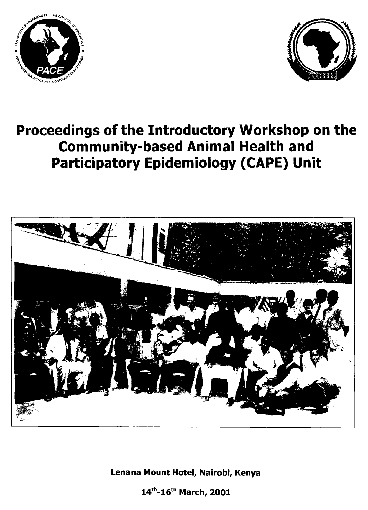



# **Proceedings of the Introductory Workshop on the Community-based Animal Health and Participatory Epidemiology (CAPE) Unit**



**Lenana Mount Hotel, Nairobi, Kenya** 

14<sup>th</sup>-16<sup>th</sup> March, 2001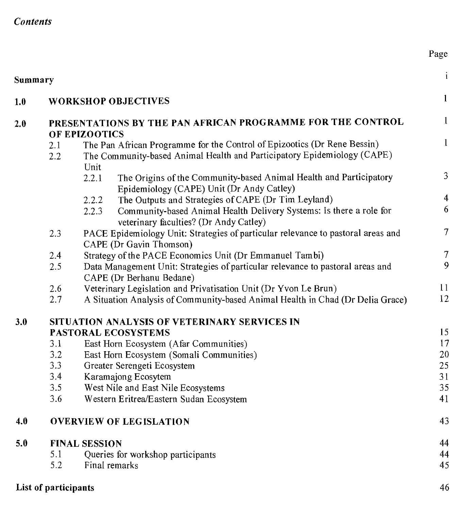### *Contents*

| Summary |                      |                                                                                                                                                             | i                       |
|---------|----------------------|-------------------------------------------------------------------------------------------------------------------------------------------------------------|-------------------------|
| 1.0     |                      | <b>WORKSHOP OBJECTIVES</b>                                                                                                                                  | $\mathbf{1}$            |
| 2.0     |                      | PRESENTATIONS BY THE PAN AFRICAN PROGRAMME FOR THE CONTROL                                                                                                  | $\mathbf{1}$            |
|         |                      | OF EPIZOOTICS                                                                                                                                               | $\mathbf{1}$            |
|         | 2.1<br>2.2           | The Pan African Programme for the Control of Epizootics (Dr Rene Bessin)<br>The Community-based Animal Health and Participatory Epidemiology (CAPE)<br>Unit |                         |
|         |                      | The Origins of the Community-based Animal Health and Participatory<br>2.2.1<br>Epidemiology (CAPE) Unit (Dr Andy Catley)                                    | $\mathfrak{Z}$          |
|         |                      | The Outputs and Strategies of CAPE (Dr Tim Leyland)<br>2.2.2                                                                                                | $\overline{\mathbf{4}}$ |
|         |                      | Community-based Animal Health Delivery Systems: Is there a role for<br>2.2.3<br>veterinary faculties? (Dr Andy Catley)                                      | 6                       |
|         | 2.3                  | PACE Epidemiology Unit: Strategies of particular relevance to pastoral areas and<br>CAPE (Dr Gavin Thomson)                                                 | $\tau$                  |
|         | 2.4                  | Strategy of the PACE Economics Unit (Dr Emmanuel Tambi)                                                                                                     | $\tau$                  |
|         | 2.5                  | Data Management Unit: Strategies of particular relevance to pastoral areas and<br>CAPE (Dr Berhanu Bedane)                                                  | 9                       |
|         | 2.6                  | Veterinary Legislation and Privatisation Unit (Dr Yvon Le Brun)                                                                                             | 11                      |
|         | 2.7                  | A Situation Analysis of Community-based Animal Health in Chad (Dr Delia Grace)                                                                              | 12                      |
| 3.0     |                      | SITUATION ANALYSIS OF VETERINARY SERVICES IN                                                                                                                |                         |
|         |                      | PASTORAL ECOSYSTEMS                                                                                                                                         | 15                      |
|         | 3.1                  | East Horn Ecosystem (Afar Communities)                                                                                                                      | 17                      |
|         | 3.2                  | East Horn Ecosystem (Somali Communities)                                                                                                                    | 20                      |
|         | 3.3<br>3.4           | Greater Serengeti Ecosystem                                                                                                                                 | 25                      |
|         |                      | Karamajong Ecosytem                                                                                                                                         | 31<br>35                |
|         | 3.5<br>3.6           | West Nile and East Nile Ecosystems<br>Western Eritrea/Eastern Sudan Ecosystem                                                                               | 41                      |
| 4.0     |                      | <b>OVERVIEW OF LEGISLATION</b>                                                                                                                              | 43                      |
| 5.0     |                      | <b>FINAL SESSION</b>                                                                                                                                        | 44                      |
|         | 5.1                  | Queries for workshop participants                                                                                                                           | 44                      |
|         | 5.2                  | Final remarks                                                                                                                                               | 45                      |
|         | List of participants |                                                                                                                                                             | 46                      |

Page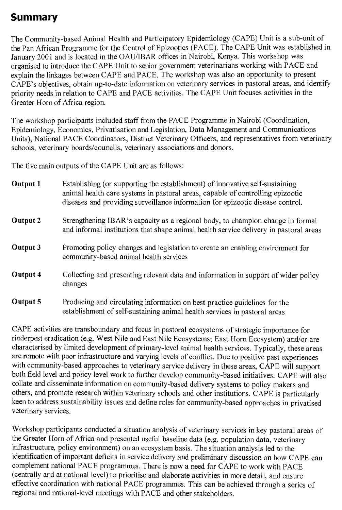# Summary

The Community-based Animal Health and Participatory Epidemiology (CAPE) Unit is a sub-unit of the Pan African Programme for the Control of Epizootics (PACE). The CAPE Unit was established in January 2001 and is located in the OAU/IBAR offices in Nairobi, Kenya. This workshop was organised to introduce the CAPE Unit to senior government veterinarians working with PACE and explain the linkages between CAPE and PACE. The workshop was also an opportunity to present CAPE's objectives, obtain up-to-date information on veterinary services in pastoral areas, and identify priority needs in relation to CAPE and PACE activities. The CAPE Unit focuses activities in the Greater Horn of Africa region.

The workshop participants included staff from the PACE Programme in Nairobi (Coordination, Epidemiology, Economics, Privatisation and Legislation, Data Management and Communications Units), National PACE Coordinators, District Veterinary Officers, and representatives from veterinary schools, veterinary boards/councils, veterinary associations and donors.

The five main outputs of the CAPE Unit are as follows:

| <b>Output 1</b> | Establishing (or supporting the establishment) of innovative self-sustaining<br>animal health care systems in pastoral areas, capable of controlling epizootic<br>diseases and providing surveillance information for epizootic disease control. |
|-----------------|--------------------------------------------------------------------------------------------------------------------------------------------------------------------------------------------------------------------------------------------------|
| Output 2        | Strengthening IBAR's capacity as a regional body, to champion change in formal<br>and informal institutions that shape animal health service delivery in pastoral areas                                                                          |
| Output 3        | Promoting policy changes and legislation to create an enabling environment for<br>community-based animal health services                                                                                                                         |
| Output 4        | Collecting and presenting relevant data and information in support of wider policy<br>changes                                                                                                                                                    |
| Output 5        | Producing and circulating information on best practice guidelines for the<br>establishment of self-sustaining animal health services in pastoral areas                                                                                           |

CAPE activities are transboundary and focus in pastoral ecosystems of strategic importance for rinderpest eradication (e.g. West Nile and East Nile Ecosystems; East Horn Ecosystem) and/or are characterised by limited development of primary-level animal health services. Typically, these areas are remote with poor infrastructure and varying levels of conflict. Due to positive past experiences with community-based approaches to veterinary service delivery in these areas, CAPE will support both field level and policy level work to further develop community-based initiatives. CAPE will also collate and disseminate information on community-based delivery systems to policy makers and others, and promote research within veterinary schools and other institutions. CAPE is particularly keen to address sustainability issues and define roles for community-based approaches in privatised veterinary services.

Workshop participants conducted a situation analysis of veterinary services in key pastoral areas of the Greater Horn of Africa and presented useful baseline data (e.g. population data, veterinary infrastructure, policy environment) on an ecosystem basis. The situation analysis led to the identification of important deficits in service delivery and preliminary discussion on how CAPE can complement national PACE programmes. There is now a need for CAPE to work with PACE (centrally and at national level) to prioritise and elaborate activities in more detail, and ensure effective coordination with national PACE programmes. This can be achieved through a series of regional and national-level meetings with PACE and other stakeholders.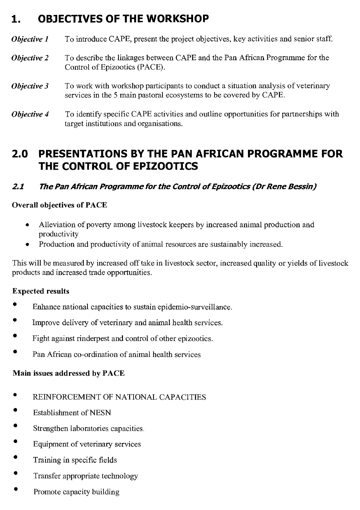# **1. OBJECTIVES OF THE WORKSHOP**

*Objective 1* To introduce CAPE, present the project objectives, key activities and senior staff.

- *Objective 2* To describe the linkages between CAPE and the Pan African Programme for the Control of Epizootics (PACE).
- *Objective 3* To work with workshop participants to conduct a situation analysis of veterinary services in the 5 main pastoral ecosystems to be covered by CAPE.
- *Objective 4* To identify specific CAPE activities and outline opportunities for partnerships with target institutions and organisations.

# **2.0 PRESENTATIONS BY THE PAN AFRICAN PROGRAMME FOR THE CONTROL OF EPIZOOTICS**

### **2.1 The Pan African Programme for the Control of Epizootics (Dr Rene Bessin)**

### Overall objectives of PACE

- Alleviation of poverty among livestock keepers by increased animal production and productivity
- Production and productivity of animal resources are sustainably increased.

This will be measured by increased off take in livestock sector, increased quality or yields of livestock products and increased trade opportunities.

#### Expected results

- Enhance national capacities to sustain epidemio-surveillance.
- Improve delivery of veterinary and animal health services.
- Fight against rinderpest and control of other epizootics.
- Pan African co-ordination of animal health services

#### Main issues addressed by PACE

- REINFORCEMENT OF NATIONAL CAPACITIES
- Establishment of NESN
- Strengthen laboratories capacities.
- Equipment of veterinary services
- Training in specific fields
- Transfer appropriate technology
- Promote capacity building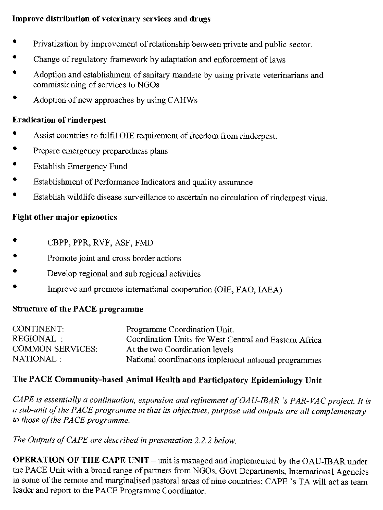### **Improve distribution of veterinary services and drugs**

- Privatization by improvement of relationship between private and public sector.
- Change of regulatory framework by adaptation and enforcement of laws
- Adoption and establishment of sanitary mandate by using private veterinarians and commissioning of services to NGOs
- Adoption of new approaches by using CAHWs

### **Eradication of rinderpest**

- Assist countries to fulfil OIE requirement of freedom from rinderpest.
- Prepare emergency preparedness plans
- Establish Emergency Fund
- Establishment of Performance Indicators and quality assurance
- Establish wildlife disease surveillance to ascertain no circulation of rinderpest virus.

#### **Fight other major epizootics**

- CBPP, PPR, RVF, ASF, FMD
- Promote joint and cross border actions
- Develop regional and sub regional activities
- Improve and promote international cooperation (OIE, FAO, IAEA)

### **Structure of the PACE programme**

| CONTINENT:              | Programme Coordination Unit.                           |
|-------------------------|--------------------------------------------------------|
| REGIONAL :              | Coordination Units for West Central and Eastern Africa |
| <b>COMMON SERVICES:</b> | At the two Coordination levels                         |
| NATIONAL :              | National coordinations implement national programmes   |

### **The PACE Community-based Animal Health and Participatory Epidemiology Unit**

*CAPE is essentially a continuation, expansion and refinement of OAU-IBAR 's PAR-VAC project. It is a sub-unit of the PACE programme in that its objectives, purpose and outputs are all complementary to those of the PACE programme.* 

*The Outputs of CAPE are described in presentation 2.2.2 below.* 

**OPERATION OF THE CAPE UNIT —** unit is managed and implemented by the OAU-IBAR under the PACE Unit with a broad range of partners from NGOs, Govt Departments, International Agencies in some of the remote and marginalised pastoral areas of nine countries; CAPE 's TA will act as team leader and report to the PACE Programme Coordinator.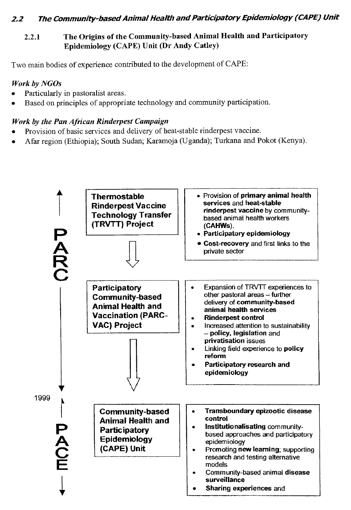### **Z2 The Community-based Animal Health and Participatory Epidemiology (CAPE) Unit**

### 2.2.1 The Origins of the Community-based Animal Health and Participatory Epidemiology (CAPE) Unit (Dr Andy Catley)

Two main bodies of experience contributed to the development of CAPE:

### *Work by NGOs*

- Particularly in pastoralist areas.
- Based on principles of appropriate technology and community participation.

### *Work by the Pan African Rinderpest Campaign*

- Provision of basic services and delivery of heat-stable rinderpest vaccine.
- Afar region (Ethiopia); South Sudan; Karamoja (Uganda); Turkana and Pokot (Kenya).

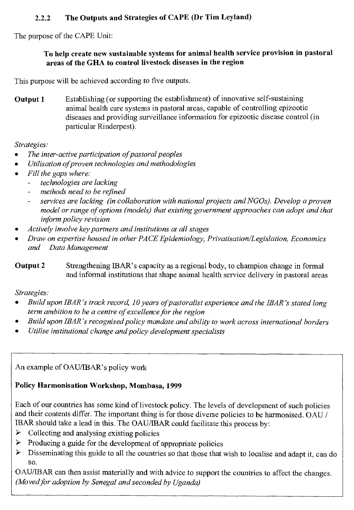### **2.2.2 The Outputs and Strategies of CAPE (Dr Tim Leyland)**

The purpose of the CAPE Unit:

#### **To help create new sustainable systems for animal health service provision in pastoral areas of the GHA to control livestock diseases in the region**

This purpose will be achieved according to five outputs.

**Output 1** Establishing (or supporting the establishment) of innovative self-sustaining animal health care systems in pastoral areas, capable of controlling epizootic diseases and providing surveillance information for epizootic disease control (in particular Rinderpest).

*Strategies:* 

- *The inter-active participation of pastoral peoples*
- *Utilisation of proven technologies and methodologies*
- *Fill the gaps where:* 
	- *technologies are lacking*
	- *methods need to be refined*
	- *services are lacking (in collaboration with national projects and NGOs). Develop a proven model or range of options (models) that existing government approaches can adopt and that inform policy revision*
- *Actively involve key partners and institutions at all stages*
- *Draw on expertise housed in other PACE Epidemiology, Privatisation/Legislation, Economics and Data Management*

### **Output 2** Strengthening IBAR's capacity as a regional body, to champion change in formal and informal institutions that shape animal health service delivery in pastoral areas

*Strategies:* 

- *Build upon IBAR's track record, 10 years of pastoralist experience and the IBAR's stated long term ambition to be a centre of excellence for the region*
- *Build upon IBAR's recognised policy mandate and ability to work across international borders*
- *Utilise institutional change and policy development specialists*

An example of OAU/IBAR's policy work

### **Policy Harmonisation Workshop, Mombasa, 1999**

Each of our countries has some kind of livestock policy. The levels of development of such policies and their contents differ. The important thing is for those diverse policies to be harmonised. OAU / IBAR should take a lead in this. The OAU/IBAR could facilitate this process by:

- $\triangleright$  Collecting and analysing existing policies
- ➢ Producing a guide for the development of appropriate policies
- ➢ Disseminating this guide to all the countries so that those that wish to localise and adapt it, can do so.

OAU/IBAR can then assist materially and with advice to support the countries to affect the changes. *(Moved for adoption by Senegal and seconded by Uganda)*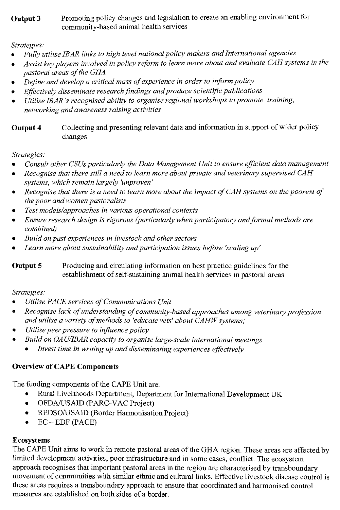### **Output 3** Promoting policy changes and legislation to create an enabling environment for community-based animal health services

### *Strategies:*

- *Fully utilise IBAR links to high level national policy makers and International agencies*
- *Assist key players involved in policy reform to learn more about and evaluate CAH systems in the pastoral areas of the GHA*
- *Define and develop a critical mass of experience in order to inform policy*
- *Effectively disseminate research findings and produce scientific publications*
- *Utilise IBAR's recognised ability to organise regional workshops to promote training, networking and awareness raising activities*

**Output 4** Collecting and presenting relevant data and information in support of wider policy changes

### *Strategies:*

- *Consult other CSUs particularly the Data Management Unit to ensure efficient data management*
- *Recognise that there still a need to learn more about private and veterinary supervised CAH systems, which remain largely 'unproven'*
- *Recognise that there is a need to learn more about the impact of CAH systems on the poorest of the poor and women pastoralists*
- *Test models/approaches in various operational contexts*
- *Ensure research design is rigorous (particularly when participatory and formal methods are combined)*
- *Build on past experiences in livestock and other sectors*
- *Learn more about sustainability and participation issues before 'scaling up'*

**Output 5** Producing and circulating information on best practice guidelines for the establishment of self-sustaining animal health services in pastoral areas

### *Strategies:*

- *Utilise PACE services of Communications Unit*
- *Recognise lack of understanding of community-based approaches among veterinary profession and utilise a variety of methods to 'educate vets' about CAHW systems;*
- *Utilise peer pressure to influence policy*
- *Build on OAU/IBAR capacity to organise large-scale international meetings* 
	- *Invest time in writing up and disseminating experiences effectively*

## **Overview of CAPE Components**

The funding components of the CAPE Unit are:

- Rural Livelihoods Department, Department for International Development UK
- OFDA/USAID (PARC-VAC Project)
- REDSO/USAID (Border Harmonisation Project)
- EC EDF (PACE)

### **Ecosystems**

The CAPE Unit aims to work in remote pastoral areas of the GHA region. These areas are affected by limited development activities, poor infrastructure and in some cases, conflict. The ecosystem approach recognises that important pastoral areas in the region are characterised by transboundary movement of communities with similar ethnic and cultural links. Effective livestock disease control is these areas requires a transboundary approach to ensure that coordinated and harmonised control measures are established on both sides of a border.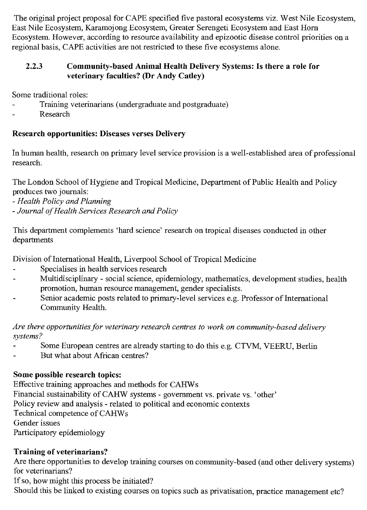The original project proposal for CAPE specified five pastoral ecosystems viz. West Nile Ecosystem, East Nile Ecosystem, Karamojong Ecosystem, Greater Serengeti Ecosystem and East Horn Ecosystem. However, according to resource availability and epizootic disease control priorities on a regional basis, CAPE activities are not restricted to these five ecosystems alone.

### **2.2.3 Community-based Animal Health Delivery Systems: Is there a role for veterinary faculties? (Dr Andy Catley)**

Some traditional roles:

- Training veterinarians (undergraduate and postgraduate)
- Research

### **Research opportunities: Diseases verses Delivery**

In human health, research on primary level service provision is a well-established area of professional research.

The London School of Hygiene and Tropical Medicine, Department of Public Health and Policy produces two journals:

- *Health Policy and Planning*
- *Journal of Health Services Research and Policy*

This department complements 'hard science' research on tropical diseases conducted in other departments

Division of International Health, Liverpool School of Tropical Medicine

- Specialises in health services research
- Multidisciplinary social science, epidemiology, mathematics, development studies, health promotion, human resource management, gender specialists.
- Senior academic posts related to primary-level services e.g. Professor of International Community Health.

*Are there opportunities for veterinary research centres to work on community-based delivery systems?* 

- Some European centres are already starting to do this e.g. CTVM, VEERU, Berlin
- But what about African centres?

### **Some possible research topics:**

Effective training approaches and methods for CAHWs Financial sustainability of CAHW systems - government vs. private vs. 'other' Policy review and analysis - related to political and economic contexts Technical competence of CAHWs Gender issues Participatory epidemiology

## **Training of veterinarians?**

Are there opportunities to develop training courses on community-based (and other delivery systems) for veterinarians?

If so, how might this process be initiated?

Should this be linked to existing courses on topics such as privatisation, practice management etc?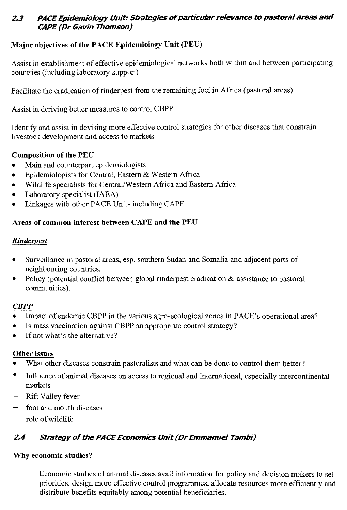### **23 PACE Epidemiology Unit: Strategies of particular relevance to pastoral areas and CAPE (Dr Gavin Thomson)**

### **Major objectives of the PACE Epidemiology Unit (PEU)**

Assist in establishment of effective epidemiological networks both within and between participating countries (including laboratory support)

Facilitate the eradication of rinderpest from the remaining foci in Africa (pastoral areas)

Assist in deriving better measures to control CBPP

Identify and assist in devising more effective control strategies for other diseases that constrain livestock development and access to markets

#### **Composition of the PEU**

- Main and counterpart epidemiologists
- Epidemiologists for Central, Eastern & Western Africa
- Wildlife specialists for Central/Western Africa and Eastern Africa
- Laboratory specialist (IAEA)
- Linkages with other PACE Units including CAPE

#### **Areas of common interest between CAPE and the PEU**

#### *Rinderpest*

- Surveillance in pastoral areas, esp. southern Sudan and Somalia and adjacent parts of neighbouring countries.
- Policy (potential conflict between global rinderpest eradication & assistance to pastoral communities).

#### *CBPP*

- Impact of endemic CBPP in the various agro-ecological zones in PACE's operational area?
- Is mass vaccination against CBPP an appropriate control strategy?
- If not what's the alternative?

#### **Other issues**

- What other diseases constrain pastoralists and what can be done to control them better?
- Influence of animal diseases on access to regional and international, especially intercontinental markets
- Rift Valley fever
- foot and mouth diseases
- $-$  role of wildlife

### **24 Strategy of the PACE Economics Unit (Dr Emmanuel Tambi)**

#### **Why economic studies?**

Economic studies of animal diseases avail information for policy and decision makers to set priorities, design more effective control programmes, allocate resources more efficiently and distribute benefits equitably among potential beneficiaries.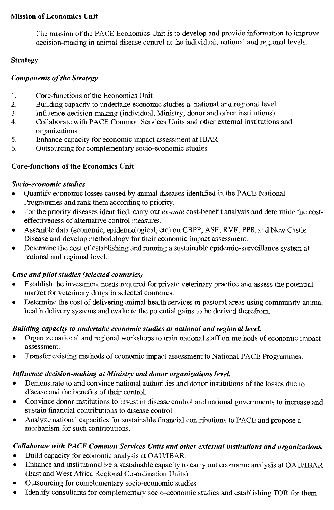#### **Mission of Economics Unit**

The mission of the PACE Economics Unit is to develop and provide information to improve decision-making in animal disease control at the individual, national and regional levels.

#### **Strategy**

#### *Components of the Strategy*

- 1. Core-functions of the Economics Unit
- 2. Building capacity to undertake economic studies at national and regional level
- 3. Influence decision-making (individual, Ministry, donor and other institutions)
- 4. Collaborate with PACE Common Services Units and other external institutions and organizations
- 5. Enhance capacity for economic impact assessment at IBAR
- 6. Outsourcing for complementary socio-economic studies

### **Core-functions of the Economics Unit**

#### *Socio-economic studies*

- Quantify economic losses caused by animal diseases identified in the PACE National Programmes and rank them according to priority.
- For the priority diseases identified, carry out *ex-ante* cost-benefit analysis and determine the costeffectiveness of alternative control measures.
- Assemble data (economic, epidemiological, etc) on CBPP, ASF, RVF, PPR and New Castle Disease and develop methodology for their economic impact assessment.
- Determine the cost of establishing and running a sustainable epidemio-surveillance system at national and regional level.

### *Case and pilot studies (selected countries)*

- Establish the investment needs required for private veterinary practice and assess the potential market for veterinary drugs in selected countries.
- Determine the cost of delivering animal health services in pastoral areas using community animal health delivery systems and evaluate the potential gains to be derived therefrom.

### *Building capacity to undertake economic studies at national and regional leveL*

- Organize national and regional workshops to train national staff on methods of economic impact assessment.
- Transfer existing methods of economic impact assessment to National PACE Programmes.

#### *Influence decision-making at Ministry and donor organizations leveL*

- Demonstrate to and convince national authorities and donor institutions of the losses due to disease and the benefits of their control.
- Convince donor institutions to invest in disease control and national governments to increase and sustain financial contributions to disease control
- Analyze national capacities for sustainable financial contributions to PACE and propose a mechanism for such contributions.

### *Collaborate with PACE Common Services Units and other external institutions and organizations.*

- Build capacity for economic analysis at OAU/IBAR.
- Enhance and institutionalize a sustainable capacity to carry out economic analysis at OAU/IBAR (East and West Africa Regional Co-ordination Units)
- Outsourcing for complementary socio-economic studies
- Identify consultants for complementary socio-economic studies and establishing TOR for them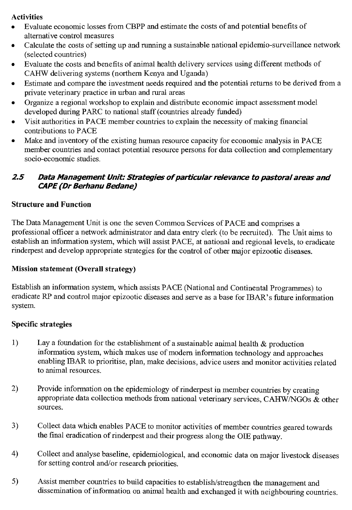#### **Activities**

- Evaluate economic losses from CBPP and estimate the costs of and potential benefits of alternative control measures
- Calculate the costs of setting up and running a sustainable national epidemio-surveillance network (selected countries)
- Evaluate the costs and benefits of animal health delivery services using different methods of CAHW delivering systems (northern Kenya and Uganda)
- Estimate and compare the investment needs required and the potential returns to be derived from a private veterinary practice in urban and rural areas
- Organize a regional workshop to explain and distribute economic impact assessment model developed during PARC to national staff (countries already funded)
- Visit authorities in PACE member countries to explain the necessity of making financial contributions to PACE
- Make and inventory of the existing human resource capacity for economic analysis in PACE member countries and contact potential resource persons for data collection and complementary socio-economic studies.

### **2.5 Data Management Unit: Strategies of particular relevance to pastoral areas and CAPE (Dr Berhanu Bedane)**

### **Structure and Function**

The Data Management Unit is one the seven Common Services of PACE and comprises a professional officer a network administrator and data entry clerk (to be recruited). The Unit aims to establish an information system, which will assist PACE, at national and regional levels, to eradicate rinderpest and develop appropriate strategies for the control of other major epizootic diseases.

### **Mission statement (Overall strategy)**

Establish an information system, which assists PACE (National and Continental Programmes) to eradicate RP and control major epizootic diseases and serve as a base for IBAR's future information system.

### **Specific strategies**

- 1) Lay a foundation for the establishment of a sustainable animal health  $\&$  production information system, which makes use of modern information technology and approaches enabling IBAR to prioritise, plan, make decisions, advice users and monitor activities related to animal resources.
- 2) Provide information on the epidemiology of rinderpest in member countries by creating appropriate data collection methods from national veterinary services, CAHW/NGOs  $\tilde{\mathbf{\alpha}}$  other sources.
- 3) Collect data which enables PACE to monitor activities of member countries geared towards the final eradication of rinderpest and their progress along the OIE pathway.
- 4) Collect and analyse baseline, epidemiological, and economic data on major livestock diseases for setting control and/or research priorities.
- 5) Assist member countries to build capacities to establish/strengthen the management and dissemination of information on animal health and exchanged it with neighbouring countries.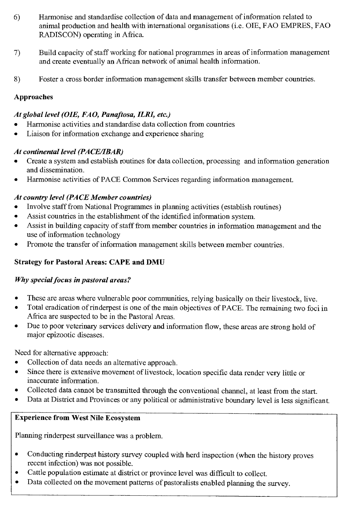- 6) Harmonise and standardise collection of data and management of information related to animal production and health with international organisations (i.e. OIE, FAO EMPRES, FAO RADISCON) operating in Africa.
- 7) Build capacity of staff working for national programmes in areas of information management and create eventually an African network of animal health information.
- 8) Foster a cross border information management skills transfer between member countries.

### Approaches

### *At global level (OIE, FAO, Panaftosa, ILRI, etc.)*

- Harmonise activities and standardise data collection from countries
- Liaison for information exchange and experience sharing

### *At continental level (PACE/IBAR)*

- Create a system and establish routines for data collection, processing and information generation and dissemination.
- Harmonise activities of PACE Common Services regarding information management.

### *At country level (PACE Member countries)*

- Involve staff from National Programmes in planning activities (establish routines)
- Assist countries in the establishment of the identified information system.
- Assist in building capacity of staff from member countries in information management and the use of information technology
- Promote the transfer of information management skills between member countries.

### Strategy for Pastoral Areas: CAPE and DMU

#### *Why special focus in pastoral areas?*

- These are areas where vulnerable poor communities, relying basically on their livestock, live.
- Total eradication of rinderpest is one of the main objectives of PACE. The remaining two foci in Africa are suspected to be in the Pastoral Areas.
- Due to poor veterinary services delivery and information flow, these areas are strong hold of major epizootic diseases.

Need for alternative approach:

- Collection of data needs an alternative approach.
- Since there is extensive movement of livestock, location specific data render very little or inaccurate information.
- Collected data cannot be transmitted through the conventional channel, at least from the start.
- Data at District and Provinces or any political or administrative boundary level is less significant.

### Experience from West Nile Ecosystem

Planning rinderpest surveillance was a problem.

- Conducting rinderpest history survey coupled with herd inspection (when the history proves recent infection) was not possible.
- Cattle population estimate at district or province level was difficult to collect.
- Data collected on the movement patterns of pastoralists enabled planning the survey.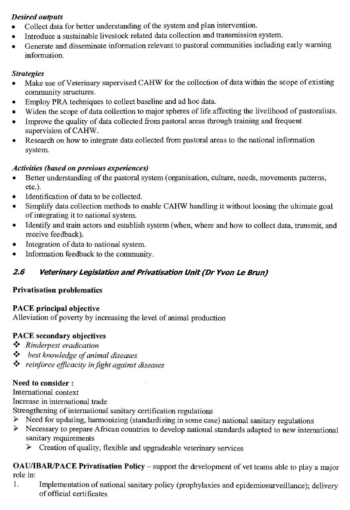### *Desired outputs*

- Collect data for better understanding of the system and plan intervention.
- Introduce a sustainable livestock related data collection and transmission system.
- Generate and disseminate information relevant to pastoral communities including early warning information.

### *Strategies*

- Make use of Veterinary supervised CAHW for the collection of data within the scope of existing community structures.
- Employ PRA techniques to collect baseline and ad hoc data.
- Widen the scope of data collection to major spheres of life affecting the livelihood of pastoralists.
- Improve the quality of data collected from pastoral areas through training and frequent supervision of CAHW.
- Research on how to integrate data collected from pastoral areas to the national information system.

### *Activities (based on previous experiences)*

- Better understanding of the pastoral system (organisation, culture, needs, movements patterns, etc.).
- Identification of data to be collected.
- Simplify data collection methods to enable CAHW handling it without loosing the ultimate goal of integrating it to national system.
- Identify and train actors and establish system (when, where and how to collect data, transmit, and receive feedback).
- Integration of data to national system.
- Information feedback to the community.

## **2.6 Veterinary Legislation and Privatisation Unit (Dr Yvon Le Brun)**

### **Privatisation problematics**

### **PACE principal objective**

Alleviation of poverty by increasing the level of animal production

### **PACE secondary objectives**

- *Rinderpest eradication*
- *• ;• best knowledge of animal diseases*
- ❖ *reinforce efficacity in fight against diseases*

### **Need to consider :**

International context

Increase in international trade

Strengthening of international sanitary certification regulations

- ➢ Need for updating, harmonizing (standardizing in some case) national sanitary regulations
- ➢ Necessary to prepare African countries to develop national standards adapted to new international sanitary requirements
	- ➢ Creation of quality, flexible and upgradeable veterinary services

**OAU/IBAR/PACE Privatisation Policy —** support the development of vet teams able to play a major role in:

1. Implementation of national sanitary policy (prophylaxies and epidemiosurveillance); delivery of official certificates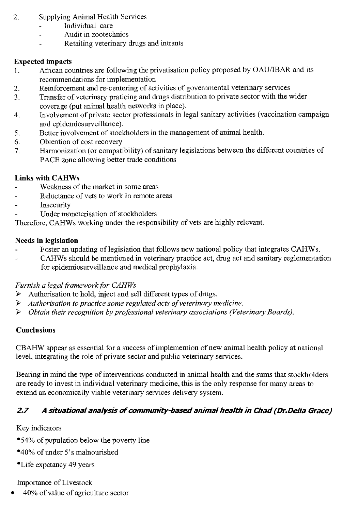- 2. Supplying Animal Health Services
	- Individual care
	- Audit in zootechnics
	- Retailing veterinary drugs and intrants

### **Expected impacts**

- 1. African countries are following the privatisation policy proposed by OAU/IBAR and its recommendations for implementation
- 2. Reinforcement and re-centering of activities of governmental veterinary services
- 3. Transfer of veterinary praticing and drugs distribution to private sector with the wider coverage (put animal health networks in place).
- 4. Involvement of private sector professionals in legal sanitary activities (vaccination campaign and epidemiosurveillance).
- 5. Better involvement of stockholders in the management of animal health.
- 6. Obtention of cost recovery
- 7. Harmonization (or compatibility) of sanitary legislations between the different countries of PACE zone allowing better trade conditions

### **Links with CAHWs**

- Weakness of the market in some areas
- Reluctance of vets to work in remote areas
- Insecurity
- Under moneterisation of stockholders

Therefore, CAHWs working under the responsibility of vets are highly relevant.

#### **Needs in legislation**

- Foster an updating of legislation that follows new national policy that integrates CAHWs.
- CAHWs should be mentioned in veterinary practice act, drug act and sanitary reglementation for epidemiosurveillance and medical prophylaxia.

#### *Furnish a legal framework for CAHWs*

- ➢ Authorisation to hold, inject and sell different types of drugs.
- ➢ *Authorisation to practice some regulated acts of veterinary medicine.*
- ➢ *Obtain their recognition by professional veterinary associations (Veterinary Boards).*

### **Conclusions**

CBAHW appear as essential for a success of implemention of new animal health policy at national level, integrating the role of private sector and public veterinary services.

Bearing in mind the type of interventions conducted in animal health and the sums that stockholders are ready to invest in individual veterinary medicine, this is the only response for many areas to extend an economically viable veterinary services delivery system.

## **2.7 A situational analysis of community-based animal health in Chad (Dr.Delia Grace)**

Key indicators

- •54% of population below the poverty line
- •40% of under 5's malnourished
- •Life expctancy 49 years

Importance of Livestock

• 40% of value of agriculture sector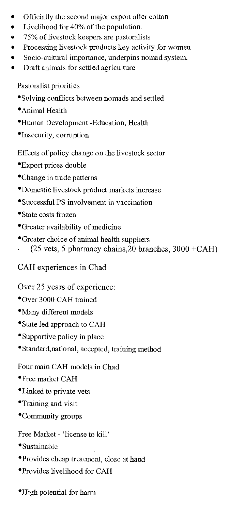- Officially the second major export after cotton
- Livelihood for 40% of the population.
- 75% of livestock keepers are pastoralists
- Processing livestock products key activity for women
- Socio-cultural importance, underpins nomad system.
- Draft animals for settled agriculture

Pastoralist priorities

- Solving conflicts between nomads and settled
- •Animal Health
- •Human Development -Education, Health
- •Insecurity, corruption

Effects of policy change on the livestock sector

- •Export prices double
- •Change in trade patterns
- •Domestic livestock product markets increase
- •Successful PS involvement in vaccination
- •State costs frozen
- •Greater availability of medicine
- •Greater choice of animal health suppliers
- $(25 \text{ vets}, 5 \text{ pharmacy chains}, 20 \text{ branches}, 3000 + CAH)$

CAH experiences in Chad

Over 25 years of experience:

- •Over 3000 CAH trained
- •Many different models
- •State led approach to CAH
- •Supportive policy in place
- Standard,national, accepted, training method

Four main CAH models in Chad

- •Free market CAH
- •Linked to private vets
- •Training and visit
- •Community groups

Free Market - 'license to kill'

- •Sustainable
- •Provides cheap treatment, close at hand
- •Provides livelihood for CAH
- •High potential for harm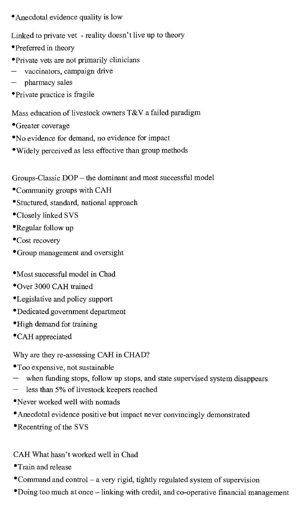- •Anecdotal evidence quality is low
- Linked to private vet reality doesn't live up to theory
- •Preferred in theory
- •Private vets are not primarily clinicians
- vaccinators, campaign drive
- pharmacy sales
- •Private practice is fragile
- Mass education of livestock owners T&V a failed paradigm
- •Greater coverage
- •No evidence for demand, no evidence for impact
- •Widely perceived as less effective than group methods

Groups-Classic DOP — the dominant and most successful model

- •Community groups with CAH
- •Stuctured, standard, national approach
- •Closely linked SVS
- •Regular follow up
- •Cost recovery
- •Group management and oversight
- •Most successful model in Chad
- •Over 3000 CAH trained
- •Legislative and policy support
- •Dedicated government department
- •High demand for training
- •CAH appreciated

Why are they re-assessing CAH in CHAD?

- •Too expensive, not sustainable
- when funding stops, follow up stops, and state supervised system disappears
- less than 5% of livestock keepers reached
- •Never worked well with nomads
- •Anecdotal evidence positive but impact never convincingly demonstrated
- •Recentring of the SVS

### CAH What hasn't worked well in Chad

- •Train and release
- •Command and control a very rigid, tightly regulated system of supervision
- •Doing too much at once linking with credit, and co-operative financial management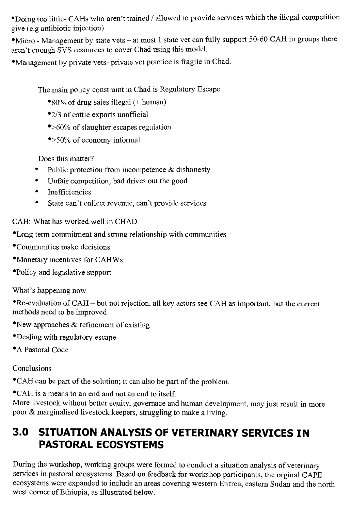•Doing too little- CAHs who aren't trained / allowed to provide services which the illegal competition give (e.g antibiotic injection)

•Micro - Management by state vets — at most 1 state vet can fully support 50-60 CAH in groups there aren't enough SVS resources to cover Chad using this model.

•Management by private vets- private vet practice is fragile in Chad.

The main policy constraint in Chad is Regulatory Escape

- •80% of drug sales illegal (+ human)
- •2/3 of cattle exports unofficial
- •>60% of slaughter escapes regulation
- •>50% of economy informal

Does this matter?

- Public protection from incompetence & dishonesty
- Unfair competition, bad drives out the good
- Inefficiencies
- $\bullet$ State can't collect revenue, can't provide services

CAH: What has worked well in CHAD

- •Long term commitment and strong relationship with communities
- •Communities make decisions
- •Monetary incentives for CAHWs
- •Policy and legislative support

What's happening now

•Re-evaluation of CAH — but not rejection, all key actors see CAH as important, but the current methods need to be improved

- •New approaches & refinement of existing
- •Dealing with regulatory escape
- •A Pastoral Code

Conclusions

•CAH can be part of the solution; it can also be part of the problem.

•CAH is a means to an end and not an end to itself.

More livestock without better equity, govemace and human development, may just result in more poor & marginalised livestock keepers, struggling to make a living.

# **3.0 SITUATION ANALYSIS OF VETERINARY SERVICES IN PASTORAL ECOSYSTEMS**

During the workshop, working groups were formed to conduct a situation analysis of veterinary services in pastoral ecosystems. Based on feedback for workshop participants, the orginal CAPE ecosystems were expanded to include an areas covering western Eritrea, eastern Sudan and the north west corner of Ethiopia, as illustrated below.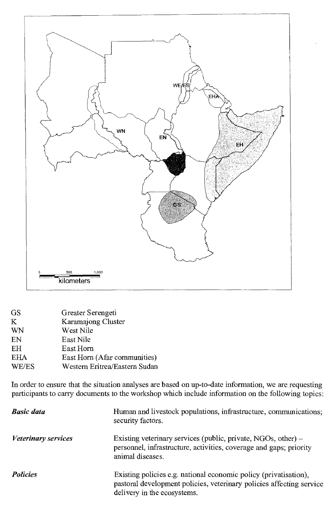

| GS         | Greater Serengeti             |
|------------|-------------------------------|
| K          | Karamajong Cluster            |
| WN         | West Nile                     |
| EN         | East Nile                     |
| EH         | East Horn                     |
| <b>EHA</b> | East Horn (Afar communities)  |
| WE/ES      | Western Eritrea/Eastern Sudan |

In order to ensure that the situation analyses are based on up-to-date information, we are requesting participants to carry documents to the workshop which include information on the following topics:

| <b>Basic data</b>          | Human and livestock populations, infrastructure, communications;<br>security factors.                                                                                   |
|----------------------------|-------------------------------------------------------------------------------------------------------------------------------------------------------------------------|
| <i>Veterinary services</i> | Existing veterinary services (public, private, NGOs, other) $-$<br>personnel, infrastructure, activities, coverage and gaps; priority<br>animal diseases.               |
| <b>Policies</b>            | Existing policies e.g. national economic policy (privatisation),<br>pastoral development policies, veterinary policies affecting service<br>delivery in the ecosystems. |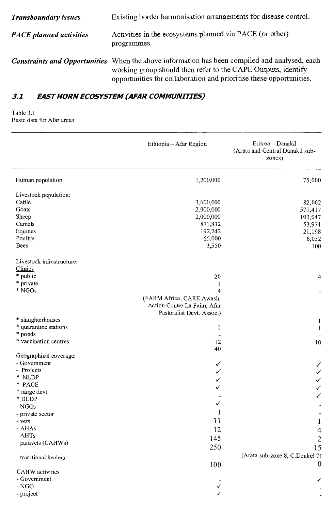| <b>Transboundary issues</b>    | Existing border harmonisation arrangements for disease control.                                                                                                                                                                       |
|--------------------------------|---------------------------------------------------------------------------------------------------------------------------------------------------------------------------------------------------------------------------------------|
| <b>PACE</b> planned activities | Activities in the ecosystems planned via PACE (or other)<br>programmes.                                                                                                                                                               |
|                                | Constraints and Opportunities When the above information has been compiled and analysed, each<br>working group should then refer to the CAPE Outputs, identify<br>opportunities for collaboration and prioritise these opportunities. |

# **3.1 EAST HORN ECOSYSTEM (AFAR COMMUNITIES)**

#### Table 3.1 Basic data for Afar areas

|                                        | Ethiopia - Afar Region                                                                                  | Eritrea - Danakil<br>(Arata and Central Danakil sub-<br>zones) |
|----------------------------------------|---------------------------------------------------------------------------------------------------------|----------------------------------------------------------------|
| Human population                       | 1,200,000                                                                                               | 75,000                                                         |
| Livestock population:                  |                                                                                                         |                                                                |
| Cattle                                 | 3,600,000                                                                                               | 82,062                                                         |
| Goats                                  | 2,900,000                                                                                               | 571,417                                                        |
| Sheep                                  | 2,000,000                                                                                               | 103,047                                                        |
| Camels                                 | 871,832                                                                                                 | 53,971                                                         |
| Equines                                | 192,242                                                                                                 | 21,198                                                         |
| Poultry                                | 65,000                                                                                                  | 6,052                                                          |
| Bees                                   | 3,550                                                                                                   | 100                                                            |
| Livestock infrastructure:              |                                                                                                         |                                                                |
| Clinics                                |                                                                                                         |                                                                |
| * public                               | 20                                                                                                      | 4                                                              |
| * private                              | $\mathbf{1}$                                                                                            |                                                                |
| $*$ NGOs                               | $\overline{4}$<br>(FARM Africa, CARE Awash,<br>Action Contre La Faim, Afar<br>Pastoralist Devt. Assoc.) |                                                                |
| * slaughterhouses                      |                                                                                                         | 1                                                              |
| * quarantine stations                  | 1                                                                                                       | $\mathbf{1}$                                                   |
| * ponds                                | $\overline{a}$                                                                                          |                                                                |
| * vaccination centres                  | 12                                                                                                      | 10                                                             |
|                                        | 40                                                                                                      |                                                                |
| Geographical coverage:                 |                                                                                                         |                                                                |
| - Government                           | ✓                                                                                                       |                                                                |
| - Projects                             | ✓                                                                                                       |                                                                |
| * NLDP                                 | ✓                                                                                                       | $\checkmark$                                                   |
| * PACE                                 | ✓                                                                                                       | $\checkmark$                                                   |
| * range devt                           |                                                                                                         | ✓                                                              |
| * DLDP                                 | ✓                                                                                                       |                                                                |
| - NGOs                                 | 1                                                                                                       |                                                                |
| - private sector                       |                                                                                                         |                                                                |
| - vets                                 | 11                                                                                                      | 1                                                              |
| - AHAs                                 | 12                                                                                                      | $\overline{\mathbf{4}}$                                        |
| - AHTs                                 | 145                                                                                                     | $\sqrt{2}$                                                     |
| - paravets (CAHWs)                     | 250                                                                                                     | 15                                                             |
|                                        |                                                                                                         | (Arata sub-zone 8, C.Denkel 7)                                 |
| - traditional healers                  |                                                                                                         | $\boldsymbol{0}$                                               |
|                                        | 100                                                                                                     |                                                                |
| <b>CAHW</b> activities<br>- Government |                                                                                                         |                                                                |
| $-NGO$                                 |                                                                                                         |                                                                |
|                                        |                                                                                                         |                                                                |
| - project                              |                                                                                                         |                                                                |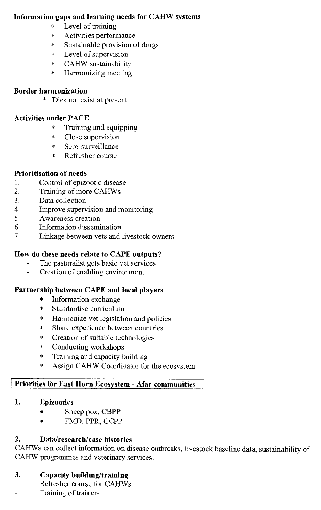### **Information gaps and learning needs for CAHW systems**

- \* Level of training
- Activities performance
- Sustainable provision of drugs
- \* Level of supervision
- \* CAHW sustainability
- \* Harmonizing meeting

#### **Border harmonization**

\* Dies not exist at present

### **Activities under PACE**

- \* Training and equipping
- Close supervision
- Sero-surveillance
- Refresher course

### **Prioritisation of needs**

- 1. Control of epizootic disease<br>2. Training of more CAHWs
- 2. Training of more CAHWs<br>3. Data collection
- Data collection
- 4. Improve supervision and monitoring<br>5. Awareness creation
- 5. Awareness creation
- 6. Information dissemination<br>7. Linkage between vets and
- Linkage between vets and livestock owners

### **How do these needs relate to CAPE outputs?**

- The pastoralist gets basic vet services
- Creation of enabling environment

### **Partnership between CAPE and local players**

- Information exchange
- Standardise curriculum
- Harmonize vet legislation and policies
- Share experience between countries
- Creation of suitable technologies
- Conducting workshops
- \* Training and capacity building<br>\* Assion CAHW Coordinator for
- Assign CAHW Coordinator for the ecosystem

### **Priorities for East Horn Ecosystem - Afar communities**

### **1. Epizootics**

- Sheep pox, CBPP
- FMD, PPR, CCPP

### **2. Data/research/case histories**

CAHWs can collect information on disease outbreaks, livestock baseline data, sustainability of CAHW programmes and veterinary services.

# **3. Capacity building/training**

- Refresher course for CAHWs  $\overline{a}$
- $\overline{a}$ Training of trainers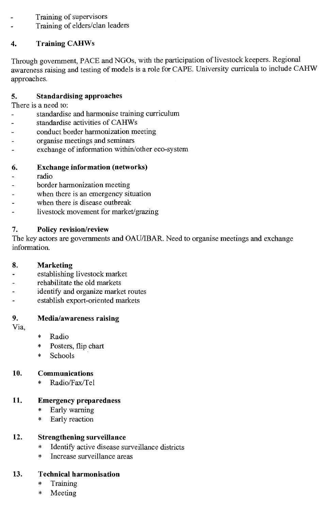- Training of supervisors
- Training of elders/clan leaders

# **4. Training CAHWs**

Through government, PACE and NGOs, with the participation of livestock keepers. Regional awareness raising and testing of models is a role for CAPE. University curricula to include CAHW approaches.

# **5. Standardising approaches**

There is a need to:

- standardise and harmonise training curriculum
- standardise activities of CAHWs
- conduct border harmonization meeting
- organise meetings and seminars
- exchange of information within/other eco-system

## **6. Exchange information (networks)**

- radio
- border harmonization meeting
- when there is an emergency situation
- when there is disease outbreak
- livestock movement for market/grazing

## **7. Policy revision/review**

The key actors are governments and OAU/IBAR. Need to organise meetings and exchange information.

## **8. Marketing**

- establishing livestock market
- rehabilitate the old markets
- identify and organize market routes
- establish export-oriented markets

# **9. Media/awareness raising**

Via,

- \* Radio
- \* Posters, flip chart
- \* Schools

# **10. Communications**

\* Radio/Fax/Tel

# **11. Emergency preparedness**

- \* Early warning
- \* Early reaction

# **12. Strengthening surveillance**

- \* Identify active disease surveillance districts
- \* Increase surveillance areas

# **13. Technical harmonisation**

- \* Training
- \* Meeting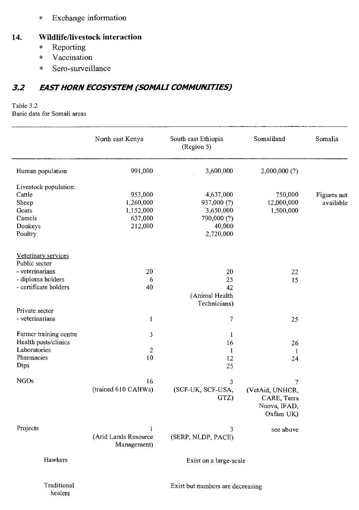Exchange information  $\star$ 

#### **14. Wildlife/livestock interaction**

- \* Reporting
- \* Vaccination
- \* Sero-surveillance

### **3.2 EAST HORN ECOSYSTEM (SOMALI COMMUNITIES)**

# Table 3.2

Basic data for Somali areas

healers

|                                      | North east Kenya                    | South east Ethiopia<br>(Region 5) | Somaliland                                                  | Somalia     |
|--------------------------------------|-------------------------------------|-----------------------------------|-------------------------------------------------------------|-------------|
| Human population                     | 991,000                             | 3,600,000                         | 2,000,000 (?)                                               |             |
| Livestock population:                |                                     |                                   |                                                             |             |
| Cattle                               | 953,000                             | 4,637,000                         | 750,000                                                     | Figures not |
| Sheep                                | 1,260,000                           | 937,000 (?)                       | 12,000,000                                                  | available   |
| Goats                                | 1,152,000                           | 3,650,000                         | 1,500,000                                                   |             |
| Camels                               | 637,000                             | 790,000 (?)                       |                                                             |             |
| Donkeys                              | 212,000                             | 40,000                            |                                                             |             |
| Poultry                              |                                     | 2,720,000                         |                                                             |             |
| Veterinary services<br>Public sector |                                     |                                   |                                                             |             |
| - veterinarians                      | 20                                  | 20                                | 22                                                          |             |
| - diploma holders                    | 6                                   | 25                                | 15                                                          |             |
| - certificate holders                | 40                                  | 42                                |                                                             |             |
|                                      |                                     | (Animal Health                    |                                                             |             |
|                                      |                                     | Technicians)                      |                                                             |             |
| Private sector                       |                                     |                                   |                                                             |             |
| - veterinarians                      | $\mathbf{1}$                        | 7                                 | 25                                                          |             |
|                                      |                                     |                                   |                                                             |             |
| Farmer training centre               | 3                                   | 1                                 |                                                             |             |
| Health posts/clinics                 |                                     | 16                                | 26                                                          |             |
| Laboratories                         | $\overline{2}$                      | 1                                 | 1                                                           |             |
| Pharmacies                           | 10                                  | 12                                | 24                                                          |             |
| Dips                                 |                                     | 25                                |                                                             |             |
| <b>NGOs</b>                          | 16                                  | 3                                 | $\overline{7}$                                              |             |
|                                      | (trained 610 CAHWs)                 | (SCF-UK, SCF-USA,<br>GTZ)         | (VetAid, UNHCR,<br>CARE, Terra<br>Nuova, IFAD,<br>Oxfam UK) |             |
| Projects                             | 1                                   | 3                                 | see above                                                   |             |
|                                      | (Arid Lands Resource<br>Management) | (SERP, NLDP, PACE)                |                                                             |             |
| Hawkers                              |                                     | Exist on a large-scale            |                                                             |             |
| Traditional                          |                                     | Exist but numbers are decreasing  |                                                             |             |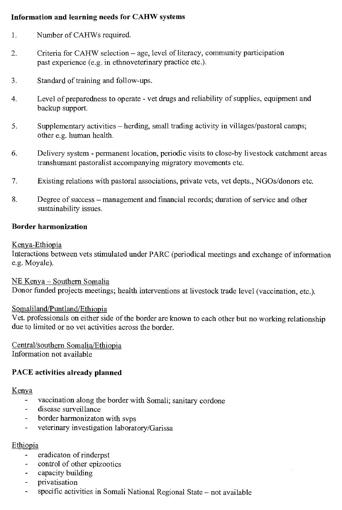#### Information and learning needs for CAHW systems

- 1. Number of CAHWs required.
- 2. Criteria for CAHW selection age, level of literacy, community participation past experience (e.g. in ethnoveterinary practice etc.).
- 3. Standard of training and follow-ups.
- 4. Level of preparedness to operate vet drugs and reliability of supplies, equipment and backup support.
- 5. Supplementary activities herding, small trading activity in villages/pastoral camps; other e.g. human health.
- 6. Delivery system permanent location, periodic visits to close-by livestock catchment areas transhumant pastoralist accompanying migratory movements etc.
- 7. Existing relations with pastoral associations, private vets, vet depts., NGOs/donors etc.
- 8. Degree of success management and financial records; duration of service and other sustainability issues.

#### Border harmonization

#### Kenya-Ethiopia

Interactions between vets stimulated under PARC (periodical meetings and exchange of information e.g. Moyale).

NE Kenya — Southern Somalia Donor funded projects meetings; health interventions at livestock trade level (vaccination, etc.).

#### Somaliland/Puntland/Ethiopia

Vet. professionals on either side of the border are known to each other but no working relationship due to limited or no vet activities across the border.

Central/southern Somalia/Ethiopia Information not available

### PACE activities already planned

#### Kenya

- vaccination along the border with Somali; sanitary cordone
- disease surveillance
- border harmonizaton with svps
- veterinary investigation laboratory/Garissa

### Ethiopia

- eradicaton of rinderpst
- control of other epizootics
- capacity building
- privatisation
- specific activities in Somali National Regional State not available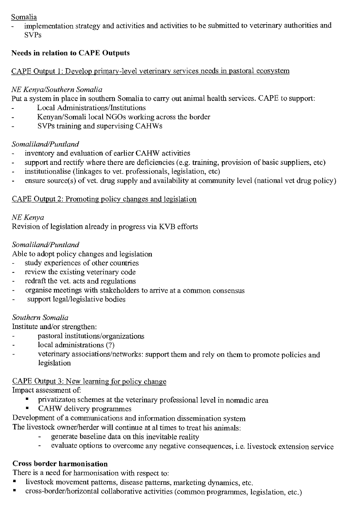### Somalia

implementation strategy and activities and activities to be submitted to veterinary authorities and SVPs

### Needs in relation to CAPE Outputs

### CAPE Output 1: Develop primary-level veterinary services needs in pastoral ecosystem

### *NE Kenya/Southern Somalia*

Put a system in place in southern Somalia to carry out animal health services. CAPE to support:

- Local Administrations/Institutions
- Kenyan/Somali local NGOs working across the border
- SVPs training and supervising CAHWs

### *Somaliland/Puntland*

- inventory and evaluation of earlier CAHW activities
- support and rectify where there are deficiencies (e.g. training, provision of basic suppliers, etc)
- institutionalise (linkages to vet. professionals, legislation, etc)
- ensure source(s) of vet. drug supply and availability at community level (national vet drug policy)

### CAPE Output 2: Promoting policy changes and legislation

### *NE Kenya*

Revision of legislation already in progress via KVB efforts

### *Somaliland/Puntland*

Able to adopt policy changes and legislation

- study experiences of other countries
- review the existing veterinary code
- redraft the vet. acts and regulations
- organise meetings with stakeholders to arrive at a common consensus
- support legal/legislative bodies

### *Southern Somalia*

Institute and/or strengthen:

- pastoral institutions/organizations
- local administrations (?)
- veterinary associations/networks: support them and rely on them to promote policies and legislation

### CAPE Output 3: New learning for policy change

Impact assessment of:

- privatizaton schemes at the veterinary professional level in nomadic area
- CAHW delivery programmes

# Development of a communications and information dissemination system

The livestock owner/herder will continue at al times to treat his animals:

- generate baseline data on this inevitable reality
- evaluate options to overcome any negative consequences, i.e. livestock extension service

### Cross border harmonisation

There is a need for harmonisation with respect to:

- livestock movement patterns, disease patterns, marketing dynamics, etc.
- cross-border/horizontal collaborative activities (common programmes, legislation, etc.)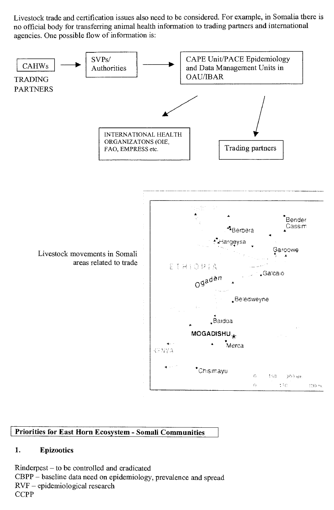Livestock trade and certification issues also need to be considered. For example, in Somalia there is no official body for transferring animal health information to trading partners and international agencies. One possible flow of information is:



### Priorities for East Horn Ecosystem - Somali Communities

#### 1. Epizootics

Rinderpest — to be controlled and eradicated CBPP — baseline data need on epidemiology, prevalence and spread RVF — epidemiological research **CCPP**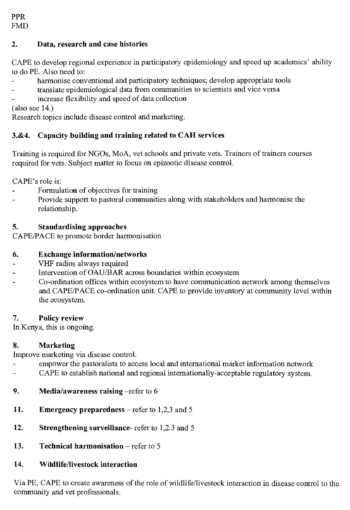### **2. Data, research and case histories**

CAPE to develop regional experience in participatory epidemiology and speed up academics' ability to do PE. Also need to:

- harmonise conventional and participatory techniques; develop appropriate tools
- translate epidemiological data from communities to scientists and vice versa
- increase flexibility and speed of data collection

(also see 14.)

Research topics include disease control and marketing.

### **3.&4. Capacity building and training related to CAH services**

Training is required for NGOs, MoA, vet schools and private vets. Trainers of trainers courses required for vets. Subject matter to focus on epizootic disease control.

CAPE's role is:

- Formulation of objectives for training
- Provide support to pastoral communities along with stakeholders and harmonise the relationship.

### **5. Standardising approaches**

CAPE/PACE to promote border harmonisation

### **6. Exchange information/networks**

- VHF radios always required
- Intervention of OAU/BAR across boundaries within ecosystem
- Co-ordination offices within ecosystem to have communication network among themselves and CAPE/PACE co-ordination unit. CAPE to provide inventory at community level within the ecosystem.

### **7. Policy review**

In Kenya, this is ongoing.

### **8. Marketing**

Improve marketing via disease control.

- empower the pastoralists to access local and international market information network
- CAPE to establish national and regional internationally-acceptable regulatory system.
- **9.** Media/awareness raising –refer to 6
- **11.** Emergency preparedness refer to 1,2,3 and 5
- **12. Strengthening surveillance-** refer to 1,2.3 and 5
- **13. Technical harmonisation** refer to 5

## **14. Wildlife/livestock interaction**

Via PE, CAPE to create awareness of the role of wildlife/livestock interaction in disease control to the community and vet professionals.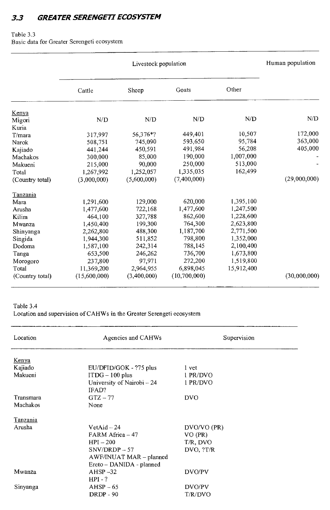### **3.3 GREATER SERENGETI ECOSYSTEM**

#### Table 3.3

Basic data for Greater Serengeti ecosystem

|                 |              | Livestock population |              |            | Human population |
|-----------------|--------------|----------------------|--------------|------------|------------------|
|                 | Cattle       | Sheep                | Goats        | Other      |                  |
| Kenya           |              |                      |              |            |                  |
| Migori          | N/D          | N/D                  | N/D          | N/D        | N/D              |
| Kuria           |              |                      |              |            |                  |
| $T/m$ ara       | 317,997      | 56,376*?             | 449,401      | 10,507     | 172,000          |
| Narok           | 508,751      | 745,090              | 593,650      | 95,784     | 363,000          |
| Kajiado         | 441,244      | 450,591              | 491,984      | 56,208     | 405,000          |
| Machakos        | 300,000      | 85,000               | 190,000      | 1,007,000  |                  |
| Makueni         | 215,000      | 90,000               | 250,000      | 513,000    |                  |
| Total           | 1,267,992    | 1,252,057            | 1,335,035    | 162,499    |                  |
| (Country total) | (3,000,000)  | (5,600,000)          | (7,400,000)  |            | (29,000,000)     |
| Tanzania        |              |                      |              |            |                  |
| Mara            | 1,291,600    | 129,000              | 620,000      | 1,395,100  |                  |
| Arusha          | 1,477,600    | 722,168              | 1,477,600    | 1,247,500  |                  |
| Kilim           | 464,100      | 327,788              | 862,600      | 1,228,600  |                  |
| Mwanza          | 1,450,400    | 199,300              | 764,300      | 2,623,800  |                  |
| Shinyanga       | 2,262,800    | 488,300              | 1,187,700    | 2,771,500  |                  |
| Singida         | 1,944,300    | 511,852              | 798,800      | 1,352,000  |                  |
| Dodoma          | 1,587,100    | 242,314              | 788,145      | 2,100,400  |                  |
| Tanga           | 653,500      | 246,262              | 736,700      | 1,673,800  |                  |
| Morogoro        | 237,800      | 97.971               | 272,200      | 1,519,800  |                  |
| Total           | 11,369,200   | 2,964,955            | 6,898,045    | 15.912.400 |                  |
| (Country total) | (15,600,000) | (3,400,000)          | (10,700,000) |            | (30,000,000)     |

#### Table 3.4 Location and supervision of CAHWs in the Greater Serengeti ecosystem

| Location     | Agencies and CAHWs         | Supervision |  |
|--------------|----------------------------|-------------|--|
| <u>Kenya</u> |                            |             |  |
| Kajiado      | EU/DFID/GOK - ?75 plus     | 1 vet       |  |
| Makueni      | $ITDG-100$ plus            | 1 PR/DVO    |  |
|              | University of Nairobi - 24 | 1 PR/DVO    |  |
|              | IFAD?                      |             |  |
| Transmara    | $GTZ - 77$                 | <b>DVO</b>  |  |
| Machakos     | None                       |             |  |
| Tanzania     |                            |             |  |
| Arusha       | $VertAid - 24$             | DVO/VO (PR) |  |
|              | FARM Africa - 47           | VO (PR)     |  |
|              | $HPI - 200$                | T/R, DVO    |  |
|              | $SNV/DRDP - 57$            | DVO, ?T/R   |  |
|              | AWF/INUAT MAR - planned    |             |  |
|              | Ereto - DANIDA - planned   |             |  |
| Mwanza       | $AHSP-32$                  | DVO/PV      |  |
|              | $HPI - ?$                  |             |  |
| Sinyanga     | $AHSP-65$                  | DVO/PV      |  |
|              | $DRDP - 90$                | T/R/DVO     |  |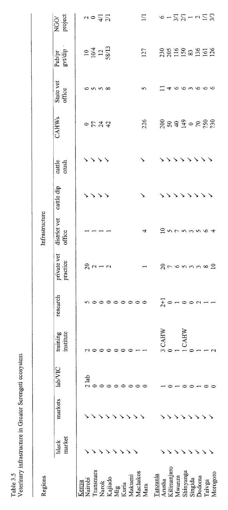1 ecos  $Sc$ rea 94 a  $\rm{ras}$ 

| Regions                                                                                             |                 |         |         |                       |                   |                         | Infrastructure         |            |                 |          |                     |                                          |                                                                     |
|-----------------------------------------------------------------------------------------------------|-----------------|---------|---------|-----------------------|-------------------|-------------------------|------------------------|------------|-----------------|----------|---------------------|------------------------------------------|---------------------------------------------------------------------|
|                                                                                                     | market<br>black | markets | lab/VIC | training<br>institute | research          | private vet<br>practice | district vet<br>office | cattle dip | cattle<br>crush | CAHWs    | State vet<br>office | $\frac{\text{Pub/pr}}{\text{grtdip}}$    | NGO/<br>project                                                     |
| Transmara<br>Narok<br>Kajiado<br>Kajiado<br>Mikueni<br>Makueni<br>Makueni<br>Nairobi<br>Kenya       |                 |         | $2$ lab |                       | n 0 0 0 0 0 0 0 0 | $29 - 2$                |                        |            | $>$ $>$ $>$     | りけみぬ     | 6558                | $\frac{104}{10/4}$<br>$\frac{12}{38/13}$ | $10 - \frac{1}{2}$ $\frac{1}{2}$                                    |
| Mara                                                                                                |                 |         |         |                       |                   |                         | 4                      |            |                 | 226      | S                   | 127                                      | $\Xi$                                                               |
| Kilimanjaro<br>Shinyanga<br>Morogoro<br>Tanzania<br>Mwanza<br>Singida<br>Dodoma<br>Arusha<br>Taivga |                 |         |         | <b>J CAHW</b><br>CAHW | $10 - 00 - -$     | <b>Aronanag</b>         | <b>2555564</b>         |            | ゝゝゝゝ            | 88990888 | $\Xi$ 4000000       | ggensang                                 | $6 - \frac{1}{2} \sum_{i=1}^{n} -1$ $\sum_{i=1}^{n} \sum_{i=1}^{n}$ |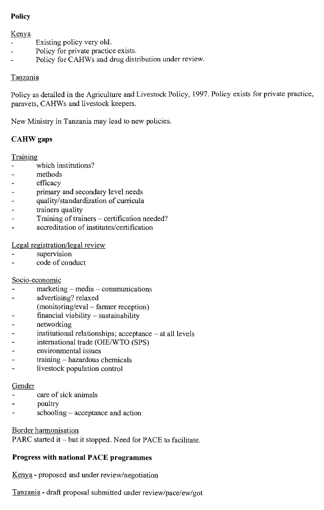### **Policy**

#### Kenya

- Existing policy very old.
- Policy for private practice exists.
- Policy for CAHWs and drug distribution under review.

### Tanzania

Policy as detailed in the Agriculture and Livestock Policy, 1997. Policy exists for private practice, paravets, CAHWs and livestock keepers.

New Ministry in Tanzania may lead to new policies.

### **CAHW gaps**

### Training

- which institutions?
- methods
- efficacy
- primary and secondary level needs
- quality/standardization of curricula
- trainers quality
- Training of trainers certification needed?
- accreditation of institutes/certification

Legal registration/legal review

- supervision
- code of conduct

### Socio-economic

- marketing media communications
- advertising? relaxed
- (monitoring/eval farmer reception)
- financial viability sustainability
- networking
- institutional relationships; acceptance at all levels
- international trade (OIE/WTO (SPS)
- environmental issues
- $training hazardous$ chemicals
- livestock population control

### Gender

- care of sick animals
- poultry
- schooling acceptance and action

### Border harmonisation

PARC started it — **but** it stopped. Need for PACE to facilitate.

### **Progress with national PACE programmes**

Kenya - proposed and under review/negotiation

Tanzania - draft proposal submitted under review/pace/ew/got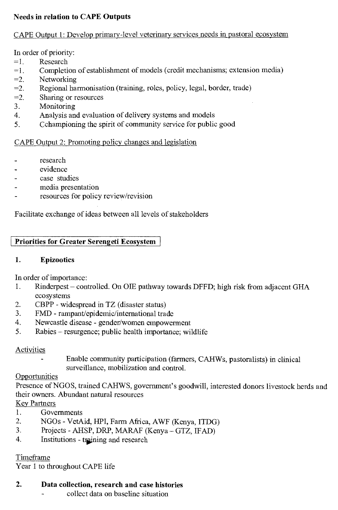### **Needs in relation to CAPE Outputs**

#### CAPE Output 1: Develop primary-level veterinary services needs in pastoral ecosystem

In order of priority:

- =1. Research
- =1. Completion of establishment of models (credit mechanisms; extension media)
- $=2$ . Networking
- =2. Regional harmonisation (training, roles, policy, legal, border, trade)
- =2. Sharing or resources
- 3. Monitoring
- 4. Analysis and evaluation of delivery systems and models
- 5. Cchampioning the spirit of community service for public good

### CAPE Output 2: Promoting policy changes and legislation

- research
- evidence
- case studies
- media presentation
- resources for policy review/revision

Facilitate exchange of ideas between all levels of stakeholders

### **Priorities for Greater Serengeti Ecosystem**

#### **1. Epizootics**

In order of importance:

- 1. Rinderpest controlled. On OIE pathway towards DFFD; high risk from adjacent GHA ecosystems
- 2. CBPP widespread in TZ (disaster status)
- 3. FMD rampant/epidemic/international trade
- 4. Newcastle disease gender/women empowerment
- 5. Rabies resurgence; public health importance; wildlife

### Activities

Enable community participation (farmers, CAHWs, pastoralists) in clinical surveillance, mobilization and control.

#### **Opportunities**

Presence of NGOS, trained CAHWS, government's goodwill, interested donors livestock herds and their owners. Abundant natural resources

### Key Partners

- 1. Governments<br>2. NGOs VetA
- 2. NGOs VetAid, HPI, Farm Africa, AWF (Kenya, ITDG)
- 3. Projects AHSP, DRP, MARAF (Kenya GTZ, IFAD)
- 4. Institutions training and research

#### Timeframe

Year 1 to throughout CAPE life

### **2. Data collection, research and case histories**

collect data on baseline situation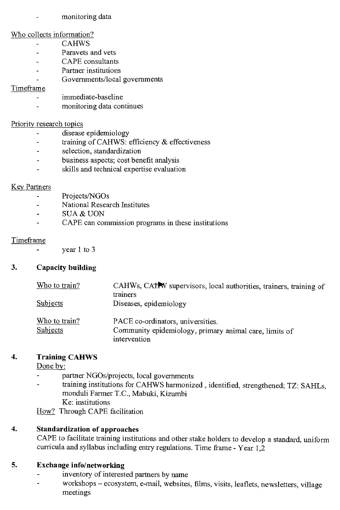monitoring data

#### Who collects information?

- CAHWS
- Paravets and vets  $\overline{a}$
- CAPE consultants
- Partner institutions  $\overline{a}$
- Governments/local governments

#### Timeframe

- immediate-baseline
- monitoring data continues  $\overline{a}$

#### Priority research topics

- disease epidemiology  $\overline{a}$
- training of CAHWS: efficiency & effectiveness  $\ddot{\phantom{a}}$
- selection, standardization
- business aspects; cost benefit analysis
- skills and technical expertise evaluation

#### Key Partners

- Projects/NGOs
- National Research Institutes
- SUA & UON  $\overline{a}$
- CAPE can commission programs in these institutions

#### Timeframe

- year 1 to 3

#### **3. Capacity building**

| Who to train? | CAHWs, CATTW supervisors, local authorities, trainers, training of<br>trainers |
|---------------|--------------------------------------------------------------------------------|
| Subjects      | Diseases, epidemiology                                                         |
| Who to train? | PACE co-ordinators, universities.                                              |
| Subjects      | Community epidemiology, primary animal care, limits of<br>intervention         |

#### **4. Training CAHWS**

**Done by:** 

- partner NGOs/projects, local governments
- training institutions for CAHWS harmonized, identified, strengthened; TZ: SAHLs, monduli Farmer T.C., Mabuki, Kizumbi Ke: institutions

How? Through CAPE facilitation

#### **4. Standardization of approaches**

CAPE to facilitate training institutions and other stake holders to develop a standard, uniform curricula and syllabus including entry regulations. Time frame - Year 1,2

## **5. Exchange info/networking**

- inventory of interested partners by name  $\ddot{\phantom{a}}$
- workshops ecosystem, e-mail, websites, films, visits, leaflets, newsletters, village meetings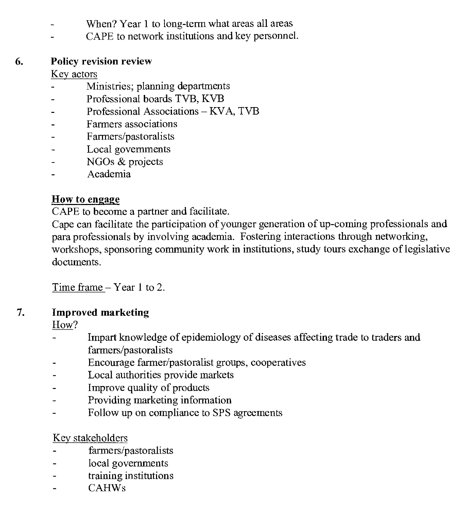- When? Year 1 to long-term what areas all areas
- CAPE to network institutions and key personnel.

#### 6. Policy revision review

Key actors

- Ministries; planning departments
- Professional boards TVB, KVB
- Professional Associations KVA, TVB
- Farmers associations
- Farmers/pastoralists
- Local governments
- NGOs & projects
- Academia

### How to engage

CAPE to become a partner and facilitate.

Cape can facilitate the participation of younger generation of up-coming professionals and para professionals by involving academia. Fostering interactions through networking, workshops, sponsoring community work in institutions, study tours exchange of legislative documents.

Time frame — Year 1 to 2.

#### 7. Improved marketing

How?

- Impart knowledge of epidemiology of diseases affecting trade to traders and  $\overline{a}$ farmers/pastoralists
- Encourage farmer/pastoralist groups, cooperatives
- Local authorities provide markets
- Improve quality of products
- Providing marketing information
- Follow up on compliance to SPS agreements

### Kev stakeholders

- farmers/pastoralists
- local governments
- training institutions
- CAHWs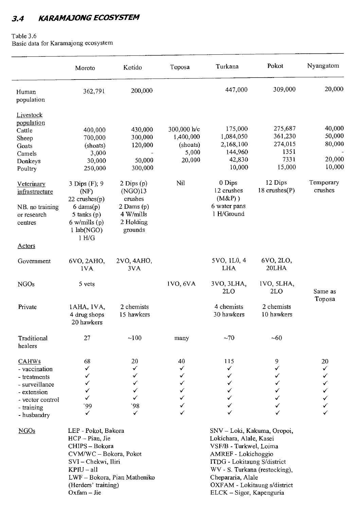## 3.4 **KARAMAJONG ECOSYSTEM**

#### Table 3.6

Basic data for Karamajong ecosystem

|                                                                                                                                 | Moroto                                                                                                                                                        | Kotido                                                                                      | Toposa                                                  | Turkana                                                                                                                                                                                                                                                  | Pokot                                                   | Nyangatom                                      |
|---------------------------------------------------------------------------------------------------------------------------------|---------------------------------------------------------------------------------------------------------------------------------------------------------------|---------------------------------------------------------------------------------------------|---------------------------------------------------------|----------------------------------------------------------------------------------------------------------------------------------------------------------------------------------------------------------------------------------------------------------|---------------------------------------------------------|------------------------------------------------|
| Human<br>population                                                                                                             | 362,791                                                                                                                                                       | 200,000                                                                                     |                                                         | 447,000                                                                                                                                                                                                                                                  | 309,000                                                 | 20,000                                         |
| Livestock<br>population<br>Cattle<br>Sheep<br>Goats<br>Camels<br>Donkeys<br>Poultry                                             | 400,000<br>700,000<br>(shoats)<br>3,000<br>30,000<br>250,000                                                                                                  | 430,000<br>300,000<br>120,000<br>50,000<br>300,000                                          | 300,000 h/c<br>1,400,000<br>(shoats)<br>5,000<br>20,000 | 175,000<br>1,084,050<br>2,168,100<br>144,960<br>42,830<br>10,000                                                                                                                                                                                         | 275,687<br>361,230<br>274,015<br>1351<br>7331<br>15,000 | 40,000<br>50,000<br>80,000<br>20,000<br>10,000 |
| Veterinary<br>infrastructure<br>NB. no training<br>or research<br>centres                                                       | 3 Dips (F); 9<br>(NF)<br>$22$ crushes $(p)$<br>$6 \text{ dams}(p)$<br>5 tanks $(p)$<br>$6$ w/mills (p)<br>$1$ lab $(NGO)$<br>1 H/G                            | $2$ Dips $(p)$<br>(NGO)13<br>crushes<br>$2$ Dams $(p)$<br>4 W/mills<br>2 Holding<br>grounds | Nil                                                     | 0 Dips<br>12 crushes<br>$(M&P)$ )<br>6 water pans<br>1 H/Ground                                                                                                                                                                                          | 12 Dips<br>$18$ crushes $(P)$                           | Temporary<br>crushes                           |
| <b>Actors</b>                                                                                                                   |                                                                                                                                                               |                                                                                             |                                                         |                                                                                                                                                                                                                                                          |                                                         |                                                |
| Government                                                                                                                      | 6VO, 2AHO,<br>1VA                                                                                                                                             | 2VO, 4AHO,<br>3VA                                                                           |                                                         | 5VO, 1L0, 4<br><b>LHA</b>                                                                                                                                                                                                                                | 6VO, 2LO,<br>20LHA                                      |                                                |
| <b>NGOs</b>                                                                                                                     | 5 yets                                                                                                                                                        |                                                                                             | 1VO, 6VA                                                | 3VO, 3LHA,<br>2LO                                                                                                                                                                                                                                        | IVO, 5LHA,<br>2LO                                       | Same as                                        |
| Private                                                                                                                         | 1AHA, IVA,<br>4 drug shops<br>20 hawkers                                                                                                                      | 2 chemists<br>15 hawkers                                                                    |                                                         | 4 chemists<br>30 hawkers                                                                                                                                                                                                                                 | 2 chemists<br>10 hawkers                                | Toposa                                         |
| Traditional<br>healers                                                                                                          | 27                                                                                                                                                            | $-100$                                                                                      | many                                                    | ~1                                                                                                                                                                                                                                                       | ~10                                                     |                                                |
| <b>CAHWs</b><br>- vaccination<br>- treatments<br>- surveillance<br>- extension<br>- vector control<br>- training<br>- husbandry | 68<br>✓<br>✓<br>✓<br>✓<br>✓<br>وو·                                                                                                                            | 20<br>✓<br>✓<br>✓<br>✓<br>✓<br>98                                                           | 40<br>✓<br>✓<br>✓<br>✓<br>✓<br>✓                        | 115<br>✓<br>✓<br>✓<br>✓<br>✓<br>✓                                                                                                                                                                                                                        | 9<br>✓<br>✓<br>✓<br>✓<br>✓<br>✓                         | 20<br>✓<br>✓<br>✓<br>✓<br>√<br>✓<br>✓          |
| NGOs                                                                                                                            | LEP - Pokot, Bakora<br>HCP-Pian, Jie<br>CHIPS – Bokora<br>CVM/WC - Bokora, Pokot<br>SVI - Chekwi, Iliri<br>KPIU – all<br>(Herders' training)<br>$Oxfam - Jie$ | LWF - Bokora, Pian Matheniko                                                                |                                                         | SNV - Loki, Kakuma, Oropoi,<br>Lokichara, Alale, Kasei<br>VSF/B - Turkwel, Loima<br>AMREF - Lokichoggio<br>ITDG - Lokitaung S/district<br>WV - S. Turkana (restocking),<br>Chepararia, Alale<br>OXFAM - Lokitaung s/district<br>ELCK - Sigor, Kapenguria |                                                         |                                                |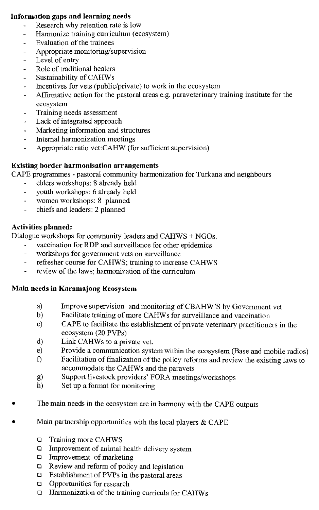#### Information gaps and learning needs

- Research why retention rate is low
- Harmonize training curriculum (ecosystem) L,
- Evaluation of the trainees
- Appropriate monitoring/supervision
- Level of entry  $\overline{a}$
- Role of traditional healers  $\overline{a}$
- Sustainability of CAHWs
- Incentives for vets (public/private) to work in the ecosystem  $\Box$
- Affirmative action for the pastoral areas e.g. paraveterinary training institute for the ecosystem
- Training needs assessment  $\mathbf{r}$
- Lack of integrated approach  $\overline{a}$
- Marketing information and structures
- Internal harmonization meetings
- Appropriate ratio vet:CAHW (for sufficient supervision)  $\overline{a}$

#### Existing border harmonisation arrangements

CAPE programmes - pastoral community harmonization for Turkana and neighbours

- elders workshops: 8 already held
- youth workshops: 6 already held
- women workshops: 8 planned  $\overline{a}$
- chiefs and leaders: 2 planned

#### Activities planned:

Dialogue workshops for community leaders and CAHWS + NGOs.

- vaccination for RDP and surveillance for other epidemics
- workshops for government vets on surveillance ä,
- refresher course for CAHWS; training to increase CAHWS  $\blacksquare$
- review of the laws; harmonization of the curriculum

#### Main needs in Karamajong Ecosystem

- a) Improve supervision and monitoring of CBAHW'S by Government vet<br>b) Facilitate training of more CAHWs for surveillance and vaccination
- b) Facilitate training of more CAHWs for surveillance and vaccination
- c) CAPE to facilitate the establishment of private veterinary practitioners in the ecosystem (20 PVPs)
- d) Link CAHWs to a private vet.
- e) Provide a communication system within the ecosystem (Base and mobile radios)<br>f) Facilitation of finalization of the policy reforms and review the existing laws to
- Facilitation of finalization of the policy reforms and review the existing laws to accommodate the CAHWs and the paravets
- g) Support livestock providers' FORA meetings/workshops<br>h) Set up a format for monitoring
- Set up a format for monitoring
- The main needs in the ecosystem are in harmony with the CAPE outputs
- Main partnership opportunities with the local players  $& \text{CAPE}$ 
	- ❑ Training more CAHWS
	- ❑ Improvement of animal health delivery system
	- ❑ Improvement of marketing
	- ❑ Review and reform of policy and legislation
	- ❑ Establishment of PVPs in the pastoral areas
	- ❑ Opportunities for research
	- ❑ Harmonization of the training curricula for CAHWs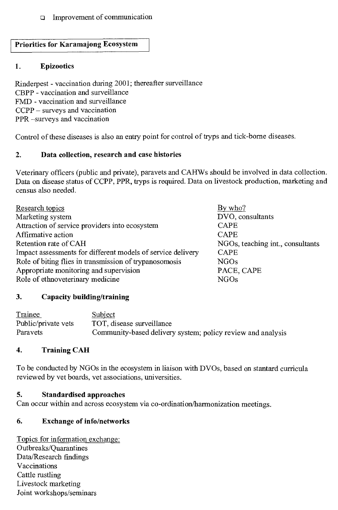#### ❑ Improvement of communication

#### **Priorities for Karamajong Ecosystem**

#### **1. Epizootics**

Rinderpest - vaccination during 2001; thereafter surveillance CBPP - vaccination and surveillance FMD - vaccination and surveillance CCPP — surveys and vaccination PPR —surveys and vaccination

Control of these diseases is also an entry point for control of tryps and tick-borne diseases.

#### **2. Data collection, research and case histories**

Veterinary officers (public and private), paravets and CAHWs should be involved in data collection. Data on disease status of CCPP, PPR, tryps is required. Data on livestock production, marketing and census also needed.

| Research topics                                             | By who?                          |
|-------------------------------------------------------------|----------------------------------|
| Marketing system                                            | DVO, consultants                 |
| Attraction of service providers into ecosystem              | <b>CAPE</b>                      |
| Affirmative action                                          | <b>CAPE</b>                      |
| Retention rate of CAH                                       | NGOs, teaching int., consultants |
| Impact assessments for different models of service delivery | <b>CAPE</b>                      |
| Role of biting flies in transmission of trypanosomosis      | NGO <sub>s</sub>                 |
| Appropriate monitoring and supervision                      | PACE, CAPE                       |
| Role of ethnoveterinary medicine                            | <b>NGOs</b>                      |

#### **3. Capacity building/training**

| Trainee             | Subject                                                     |
|---------------------|-------------------------------------------------------------|
| Public/private vets | TOT, disease surveillance                                   |
| <b>Paravets</b>     | Community-based delivery system; policy review and analysis |

#### **4. Training CAH**

To be conducted by NGOs in the ecosystem in liaison with DVOs, based on stantard curricula reviewed by vet boards, vet associations, universities.

#### **5. Standardised approaches**

Can occur within and across ecosystem via co-ordination/harmonization meetings.

### **6. Exchange of info/networks**

Topics for information exchange: Outbreaks/Quarantines Data/Research findings Vaccinations Cattle rustling Livestock marketing Joint workshops/seminars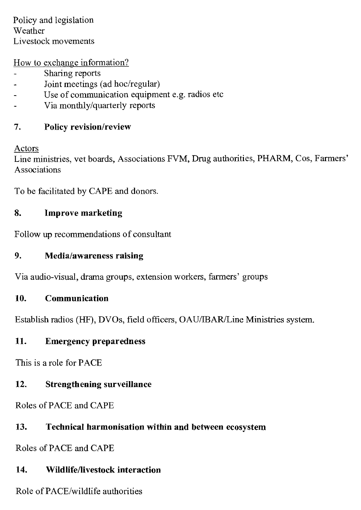Policy and legislation Weather Livestock movements

How to exchange information?

- Sharing reports
- Joint meetings (ad hoc/regular)
- Use of communication equipment e.g. radios etc
- Via monthly/quarterly reports

### 7. Policy revision/review

Actors

Line ministries, vet boards, Associations FVM, Drug authorities, PHARM, Cos, Farmers' Associations

To be facilitated by CAPE and donors.

### 8. Improve marketing

Follow up recommendations of consultant

### 9. Media/awareness raising

Via audio-visual, drama groups, extension workers, farmers' groups

### 10. Communication

Establish radios (HF), DVOs, field officers, OAU/IBAR/Line Ministries system.

### 11. Emergency preparedness

This is a role for PACE

### 12. Strengthening surveillance

Roles of PACE and CAPE

### 13. Technical harmonisation within and between ecosystem

Roles of PACE and CAPE

### 14. Wildlife/livestock interaction

Role of PACE/wildlife authorities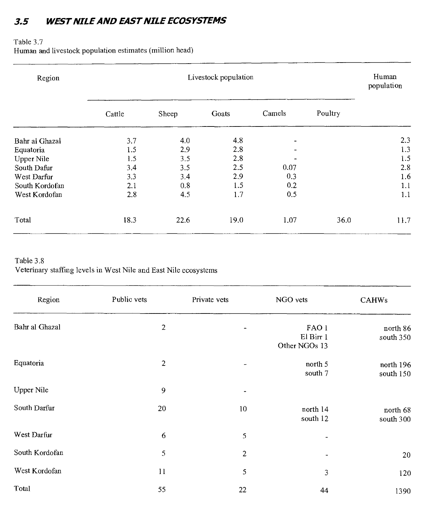### *3-5 WEST NILE AND EAST NILE ECOSYSTEMS*

#### Table 3.7

Human and livestock population estimates (million head)

| Region         | Livestock population |       |       |                       |         | Human<br>population |
|----------------|----------------------|-------|-------|-----------------------|---------|---------------------|
|                | Cattle               | Sheep | Goats | Camels                | Poultry |                     |
| Bahr al Ghazal | 3.7                  | 4.0   | 4.8   |                       |         | 2.3                 |
| Equatoria      | 1.5                  | 2.9   | 2.8   | $\tilde{\phantom{a}}$ |         | 1.3                 |
| Upper Nile     | 1.5                  | 3.5   | 2.8   |                       |         | 1.5                 |
| South Dafur    | 3.4                  | 3.5   | 2.5   | 0.07                  |         | 2.8                 |
| West Darfur    | 3.3                  | 3.4   | 2.9   | 0.3                   |         | 1.6                 |
| South Kordofan | 2.1                  | 0.8   | 1.5   | 0.2                   |         | 1.1                 |
| West Kordofan  | 2.8                  | 4.5   | 1.7   | 0.5                   |         | 1.1                 |
| Total          | 18.3                 | 22.6  | 19.0  | 1.07                  | 36.0    | 11.7                |

#### Table 3.8 Veterinary staffing levels in West Nile and East Nile ecosystems

| Region         | Public vets | Private vets | NGO vets                            | <b>CAHWs</b>           |
|----------------|-------------|--------------|-------------------------------------|------------------------|
| Bahr al Ghazal | 2           |              | FAO 1<br>El Birr 1<br>Other NGOs 13 | north 86<br>south 350  |
| Equatoria      | 2           | ٠            | north 5<br>south 7                  | north 196<br>south 150 |
| Upper Nile     | 9           |              |                                     |                        |
| South Darfur   | 20          | 10           | north 14<br>south 12                | north 68<br>south 300  |
| West Darfur    | 6           | 5            |                                     |                        |
| South Kordofan | 5           | $\mathbf{2}$ |                                     | 20                     |
| West Kordofan  | 11          | 5            | 3                                   | 120                    |
| Total          | 55          | 22           | 44                                  | 1390                   |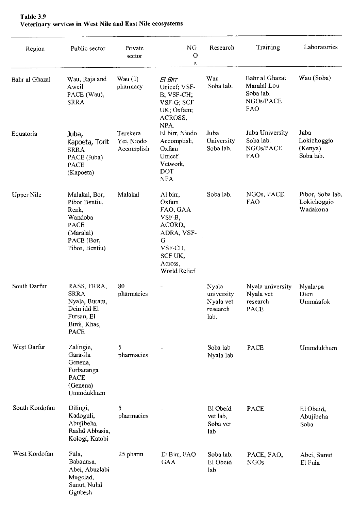| Region            | Public sector                                                                                                  | Private<br>sector                    | NG.<br>O<br>$\bf S$                                                                                                   | Research                                             | Training                                                       | Laboratories                                |
|-------------------|----------------------------------------------------------------------------------------------------------------|--------------------------------------|-----------------------------------------------------------------------------------------------------------------------|------------------------------------------------------|----------------------------------------------------------------|---------------------------------------------|
| Bahr al Ghazal    | Wau, Raja and<br>Aweil<br>PACE (Wau),<br><b>SRRA</b>                                                           | Wau(1)<br>pharmacy                   | El Birr<br>Unicef; VSF-<br>B; VSF-CH;<br>VSF-G; SCF<br>UK; Oxfam;<br>ACROSS,<br>NPA.                                  | Wau<br>Soba lab.                                     | Bahr al Ghazal<br>Maralal Lou<br>Soba lab.<br>NGOs/PACE<br>FAO | Wau (Soba)                                  |
| Equatoria         | Juba,<br>Kapoeta, Torit<br><b>SRRA</b><br>PACE (Juba)<br><b>PACE</b><br>(Kapoeta)                              | Terekera<br>Yei, Niodo<br>Accomplish | El birr, Niodo<br>Accomplish,<br>Oxfam<br>Unicef<br>Vetwork,<br>DOT<br><b>NPA</b>                                     | Juba<br>University<br>Soba lab.                      | Juba University<br>Soba lab.<br>NGOs/PACE<br><b>FAO</b>        | Juba<br>Lokichoggio<br>(Kenya)<br>Soba lab. |
| <b>Upper Nile</b> | Malakal, Bor,<br>Pibor Bentiu,<br>Renk,<br>Wandoba<br><b>PACE</b><br>(Maralal)<br>PACE (Bor,<br>Pibor, Bentiu) | Malakal                              | Al birr,<br>Oxfam<br>FAO, GAA<br>VSF-B,<br>ACORD,<br>ADRA, VSF-<br>G<br>VSF-CH,<br>SCF UK,<br>Across,<br>World Relief | Soba lab.                                            | NGOs, PACE,<br><b>FAO</b>                                      | Pibor, Soba lab.<br>Lokichoggio<br>Wadakona |
| South Darfur      | RASS, FRRA,<br><b>SRRA</b><br>Nyala, Buram,<br>Dein idd El<br>Fursan, El<br>Birdi, Khas,<br><b>PACE</b>        | 80<br>pharmacies                     |                                                                                                                       | Nyala<br>university<br>Nyala vet<br>research<br>lab. | Nyala university<br>Nyala vet<br>research<br><b>PACE</b>       | Nyala/pa<br>Dien<br>Ummdafok                |
| West Darfur       | Zalingie,<br>Garasila<br>Genena,<br>Forbaranga<br><b>PACE</b><br>(Genena)<br>Ummdukhum                         | 5<br>pharmacies                      |                                                                                                                       | Soba lab<br>Nyala lab                                | PACE                                                           | Ummdukhum                                   |
| South Kordofan    | Dilingi,<br>Kadoguli,<br>Abujibeha,<br>Rashd Abbasia,<br>Kologi, Katobi                                        | 5<br>pharmacies                      |                                                                                                                       | El Obeid<br>vet lab,<br>Soba vet<br>lab              | <b>PACE</b>                                                    | El Obeid,<br>Abujibeha<br>Soba              |
| West Kordofan     | Fula,<br>Babanusa,<br>Abei, Abuzlabi<br>Mugelad,<br>Sunut, Nuhd<br>Ggubesh                                     | 25 pharm                             | El Birr, FAO<br><b>GAA</b>                                                                                            | Soba lab.<br>El Obeid<br>lab                         | PACE, FAO,<br><b>NGOs</b>                                      | Abei. Sunut<br>El Fula                      |

#### Table 3.9 Veterinary services in West Nile and East Nile ecosystems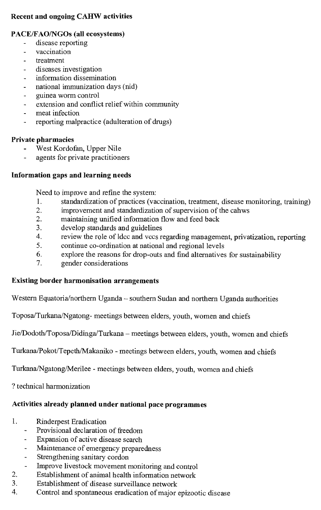#### Recent and ongoing CAHW activities

#### PACE/FAO/NGOs (all ecosystems)

- disease reporting
- vaccination  $\overline{\phantom{a}}$
- treatment
- diseases investigation
- information dissemination
- national immunization days (nid)
- guinea worm control
- extension and conflict relief within community  $\overline{a}$
- meat infection  $\overline{a}$
- reporting malpractice (adulteration of drugs)

#### Private pharmacies

- West Kordofan, Upper Nile
- agents for private practitioners

#### Information gaps and learning needs

Need to improve and refine the system:

- 1. standardization of practices (vaccination, treatment, disease monitoring, training)<br>2. improvement and standardization of supervision of the cahws
	- improvement and standardization of supervision of the cahws
- 2. maintaining unified information flow and feed back<br>3. develop standards and guidelines
- develop standards and guidelines
- 4. review the role of ldcc and vccs regarding management, privatization, reporting
- 5. continue co-ordination at national and regional levels
- 6. explore the reasons for drop-outs and find alternatives for sustainability
- 7. gender considerations

#### Existing border harmonisation arrangements

Western Equatoria/northern Uganda — southern Sudan and northern Uganda authorities

Toposa/Turkana/Ngatong- meetings between elders, youth, women and chiefs

Jie/Dodoth/Toposa/Didinga/Turkana — meetings between elders, youth, women and chiefs

Turkana/Pokot/Tepeth/Makaniko - meetings between elders, youth, women and chiefs

Turkana/Ngatong/Merilee - meetings between elders, youth, women and chiefs

? technical harmonization

### Activities already planned under national pace programmes

- 1. Rinderpest Eradication
	- Provisional declaration of freedom
	- Expansion of active disease search  $\ddot{\phantom{1}}$
	- Maintenance of emergency preparedness
	- Strengthening sanitary cordon  $\omega$
	- Improve livestock movement monitoring and control
- 2. Establishment of animal health information network<br>3. Establishment of disease surveillance network
- 3. Establishment of disease surveillance network<br>4. Control and spontaneous eradication of major
- 4. Control and spontaneous eradication of major epizootic disease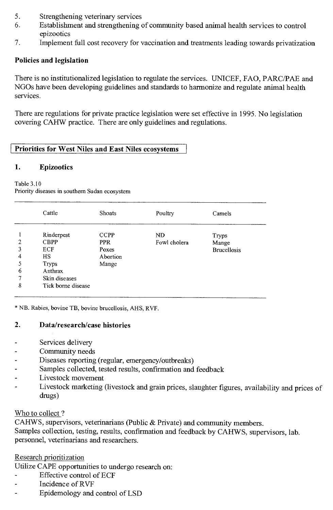- 5. Strengthening veterinary services
- 6. Establishment and strengthening of community based animal health services to control epizootics
- 7. Implement full cost recovery for vaccination and treatments leading towards privatization

### **Policies and legislation**

There is no institutionalized legislation to regulate the services. UNICEF, FAO, PARC/PAE and NGOs have been developing guidelines and standards to harmonize and regulate animal health services.

There are regulations for private practice legislation were set effective in 1995. No legislation covering CAHW practice. There are only guidelines and regulations.

### **Priorities for West Niles and East Niles ecosystems**

### **1. Epizootics**

Table 3.10

Priority diseases in southern Sudan ecosystem

|                | Cattle             | Shoats      | Poultry      | Camels             |
|----------------|--------------------|-------------|--------------|--------------------|
|                | Rinderpest         | <b>CCPP</b> | <b>ND</b>    | Tryps              |
| $\overline{2}$ | <b>CBPP</b>        | <b>PPR</b>  | Fowl cholera | Mange              |
| 3              | ECF                | Poxes       |              | <b>Brucellosis</b> |
| 4              | HS.                | Abortion    |              |                    |
| 5              | <b>Tryps</b>       | Mange       |              |                    |
| 6              | Anthrax            |             |              |                    |
|                | Skin diseases      |             |              |                    |
| 8              | Tick borne disease |             |              |                    |
|                |                    |             |              |                    |

\* NB. Rabies, bovine TB, bovine brucellosis, AHS, RVF.

### **2. Data/research/case histories**

- Services delivery
- Community needs
- Diseases reporting (regular, emergency/outbreaks)
- Samples collected, tested results, confirmation and feedback  $\overline{a}$
- Livestock movement
- Livestock marketing (livestock and grain prices, slaughter figures, availability and prices of drugs)

### Who to collect ?

CAHWS, supervisors, veterinarians (Public & Private) and community members. Samples collection, testing, results, confirmation and feedback by CAHWS, supervisors, lab. personnel, veterinarians and researchers.

### Research prioritization

Utilize CAPE opportunities to undergo research on:

- Effective control of ECF
- Incidence of RVF
- Epidemology and control of LSD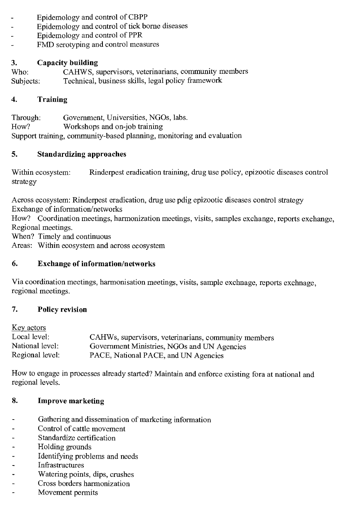- Epidemology and control of CBPP
- Epidemology and control of tick borne diseases
- Epidemology and control of PPR
- FMD serotyping and control measures

# **3. Capacity building**

CAHWS, supervisors, veterinarians, community members Subjects: Technical, business skills, legal policy framework

#### **4. Training**

Through: Government, Universities, NGOs, labs.<br>How? Workshops and on-iob training Workshops and on-job training Support training, community-based planning, monitoring and evaluation

#### **5. Standardizing approaches**

Within ecosystem: Rinderpest eradication training, drug use policy, epizootic diseases control strategy

Across ecosystem: Rinderpest eradication, drug use pdig epizootic diseases control strategy Exchange of information/networks

How? Coordination meetings, harmonization meetings, visits, samples exchange, reports exchange, Regional meetings.

When? Timely and continuous

Areas: Within ecosystem and across ecosystem

#### **6. Exchange of information/networks**

Via coordination meetings, harmonisation meetings, visits, sample exchnage, reports exchnage, regional meetings.

#### **7. Policy revision**

Key actors

| Local level:    | CAHWs, supervisors, veterinarians, community members |
|-----------------|------------------------------------------------------|
| National level: | Government Ministries, NGOs and UN Agencies          |
| Regional level: | PACE, National PACE, and UN Agencies                 |

How to engage in processes already started? Maintain and enforce existing fora at national and regional levels.

#### **8. Improve marketing**

- Gathering and dissemination of marketing information
- Control of cattle movement
- Standardize certification
- Holding grounds
- Identifying problems and needs
- Infrastructures
- Watering points, dips, crushes
- Cross borders harmonization
- Movement permits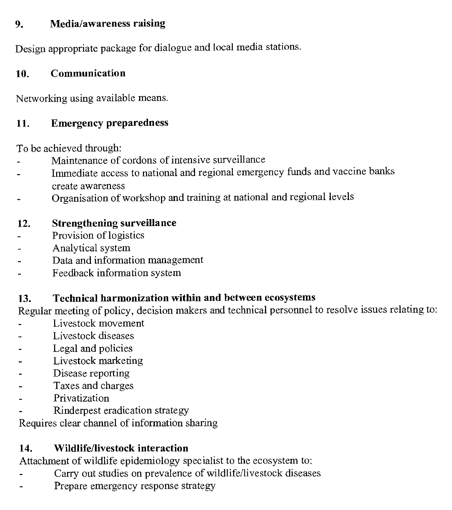#### **9. Media/awareness raising**

Design appropriate package for dialogue and local media stations.

### **10. Communication**

Networking using available means.

### **11. Emergency preparedness**

To be achieved through:

- Maintenance of cordons of intensive surveillance
- Immediate access to national and regional emergency funds and vaccine banks create awareness
- Organisation of workshop and training at national and regional levels

### **12. Strengthening surveillance**

- Provision of logistics
- Analytical system
- Data and information management
- Feedback information system

### **13. Technical harmonization within and between ecosystems**

Regular meeting of policy, decision makers and technical personnel to resolve issues relating to:

- Livestock movement
- Livestock diseases
- Legal and policies
- Livestock marketing
- Disease reporting
- Taxes and charges
- Privatization
- Rinderpest eradication strategy

Requires clear channel of information sharing

### **14. Wildlife/livestock interaction**

Attachment of wildlife epidemiology specialist to the ecosystem to:

- Carry out studies on prevalence of wildlife/livestock diseases
- Prepare emergency response strategy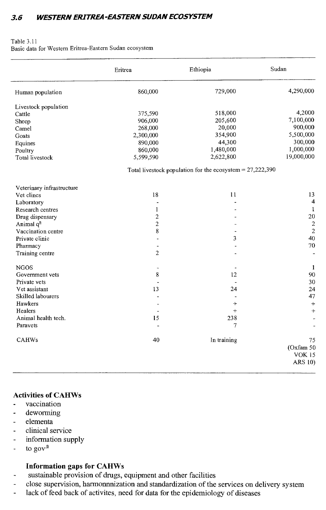### **3.6 WESTERN ERITREA-EASTERN SUDAN ECOSYSTEM**

#### Table 3.11 Basic data for Western Eritrea-Eastern Sudan ecosystem

|                            | Eritrea                  | Ethiopia                                                    | Sudan          |
|----------------------------|--------------------------|-------------------------------------------------------------|----------------|
| Human population           | 860,000                  | 729,000                                                     | 4,290,000      |
| Livestock population       |                          |                                                             |                |
| Cattle                     | 375,590                  | 518,000                                                     | 4,2000         |
| Sheep                      | 906,000                  | 205,600                                                     | 7,100,000      |
| Camel                      | 268,000                  | 20,000                                                      | 900,000        |
| Goats                      | 2,300,000                | 354,900                                                     | 5,500,000      |
| Equines                    | 890,000                  | 44,300                                                      | 300,000        |
| Poultry                    | 860,000                  | 1,480,000                                                   | 1,000,000      |
| Total livestock            | 5,599,590                | 2,622,800                                                   | 19,000,000     |
|                            |                          | Total livestock population for the ecosystem = $27,222,390$ |                |
| Veterinary infrastructure  |                          |                                                             |                |
| Vet clincs                 | 18                       | 11                                                          | 13             |
| Laboratory                 |                          |                                                             | 4              |
| Research centres           | 1                        |                                                             | $\mathbf{1}$   |
| Drug dispensary            | $\mathbf 2$              |                                                             | 20             |
| Animal $q^{\underline{n}}$ | $\overline{c}$           |                                                             | $\sqrt{2}$     |
| Vaccination centre         | 8                        |                                                             | $\overline{c}$ |
| Private clinic             |                          | 3                                                           | 40             |
| Pharmacy                   |                          |                                                             | 70             |
| Training centre            | $\overline{2}$           |                                                             |                |
| <b>NGOS</b>                | $\overline{\phantom{a}}$ |                                                             | -1             |
| Government vets            | 8                        | 12                                                          | 90             |
| Private vets               |                          |                                                             | 30             |
| Vet assistant              | 13                       | 24                                                          | 24             |
| Skilled labourers          |                          |                                                             | 47             |
| Hawkers                    |                          | $+$                                                         | $+$            |
| Healers                    |                          | $+$                                                         | $+$            |
| Animal health tech.        | 15                       | 238                                                         |                |
| Paravets                   |                          | 7                                                           |                |
| <b>CAHWs</b>               | 40                       | In training                                                 | 75             |
|                            |                          |                                                             | (Oxfam 50      |
|                            |                          |                                                             | <b>VOK 15</b>  |
|                            |                          |                                                             | ARS 10)        |
|                            |                          |                                                             |                |

#### **Activities of CAHWs**

- vaccination L.
- deworming
- elementa
- clinical service
- information supply  $\ddot{\phantom{a}}$
- to gov<sup> $\frac{n}{2}$ </sup>

#### **Information gaps for CAHWs**

- sustainable provision of drugs, equipment and other facilities
- close supervision, harmonnnization and standardization of the services on delivery system  $\rightarrow$
- lack of feed back of activites, need for data for the epidemiology of diseases  $\overline{a}$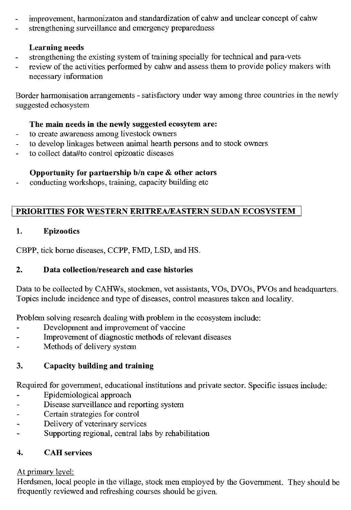- improvement, harmonizaton and standardization of cahw and unclear concept of cahw  $\overline{a}$
- strengthening surveillance and emergency preparedness

# **Learning needs**

- strengthening the existing system of training specially for technical and para-vets
- review of the activities performed by cahw and assess them to provide policy makers with necessary information

Border harmonisation arrangements - satisfactory under way among three countries in the newly suggested echosystem

## **The main needs in the newly suggested ecosytem are:**

- to create awareness among livestock owners  $\bar{a}$
- to develop linkages between animal hearth persons and to stock owners ä,
- to collect data#to control epizoatic diseases

# **Opportunity for partnership b/n cape & other actors**

- conducting workshops, training, capacity building etc

# **PRIORITIES FOR WESTERN ERITREA/EASTERN SUDAN ECOSYSTEM**

# **1. Epizootics**

CBPP, tick borne diseases, CCPP, FMD, LSD, and HS.

# **2. Data collection/research and case histories**

Data to be collected by CAHWs, stockmen, vet assistants, VOs, DVOs, PVOs and headquarters. Topics include incidence and type of diseases, control measures taken and locality.

Problem solving research dealing with problem in the ecosystem include:

- Development and improvement of vaccine
- Improvement of diagnostic methods of relevant diseases
- Methods of delivery system

# **3. Capacity building and training**

Required for government, educational institutions and private sector. Specific issues include:

- Epidemiological approach
- Disease surveillance and reporting system
- Certain strategies for control
- Delivery of veterinary services
- Supporting regional, central labs by rehabilitation

# **4. CAH services**

# At primary level:

Herdsmen, local people in the village, stock men employed by the Government. They should be frequently reviewed and refreshing courses should be given.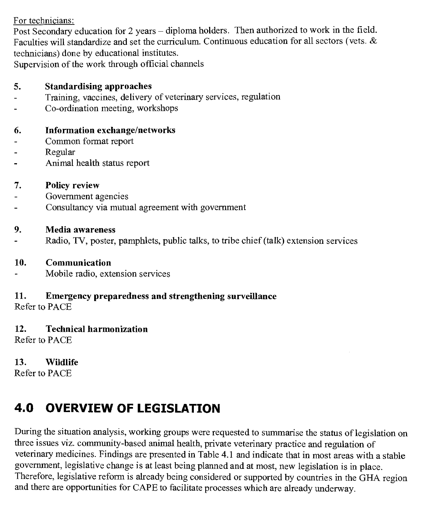For technicians:

Post Secondary education for 2 years — diploma holders. Then authorized to work in the field. Faculties will standardize and set the curriculum. Continuous education for all sectors (vets. & technicians) done by educational institutes.

Supervision of the work through official channels

#### **5. Standardising approaches**

- Training, vaccines, delivery of veterinary services, regulation
- Co-ordination meeting, workshops

#### **6. Information exchange/networks**

- Common format report
- Regular
- Animal health status report

#### **7. Policy review**

- Government agencies
- Consultancy via mutual agreement with government

#### **9. Media awareness**

Radio, TV, poster, pamphlets, public talks, to tribe chief (talk) extension services

#### **10. Communication**

Mobile radio, extension services

## **11. Emergency preparedness and strengthening surveillance**

Refer to PACE

# **12. Technical harmonization**

Refer to PACE

### **13. Wildlife**

Refer to PACE

# **4.0 OVERVIEW OF LEGISLATION**

During the situation analysis, working groups were requested to summarise the status of legislation on three issues viz. community-based animal health, private veterinary practice and regulation of veterinary medicines. Findings are presented in Table 4.1 and indicate that in most areas with a stable government, legislative change is at least being planned and at most, new legislation is in place. Therefore, legislative reform is already being considered or supported by countries in the GHA region and there are opportunities for CAPE to facilitate processes which are already underway.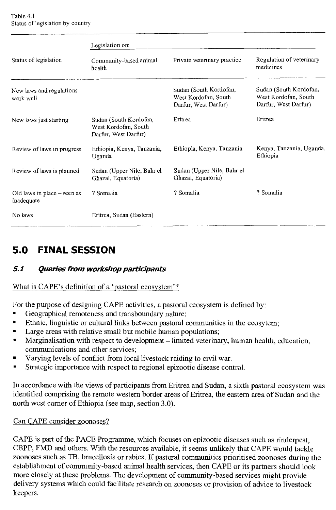|                                           | Legislation on:                                                        |                                                                        |                                                                        |
|-------------------------------------------|------------------------------------------------------------------------|------------------------------------------------------------------------|------------------------------------------------------------------------|
| Status of legislation                     | Community-based animal<br>health                                       | Private veterinary practice                                            | Regulation of veterinary<br>medicines                                  |
| New laws and regulations<br>work well     |                                                                        | Sudan (South Kordofan,<br>West Kordofan, South<br>Darfur, West Darfur) | Sudan (South Kordofan,<br>West Kordofan, South<br>Darfur, West Darfur) |
| New laws just starting                    | Sudan (South Kordofan,<br>West Kordofan, South<br>Darfur, West Darfur) | Eritrea                                                                | Eritrea                                                                |
| Review of laws in progress                | Ethiopia, Kenya, Tanzania,<br>Uganda                                   | Ethiopia, Kenya, Tanzania                                              | Kenya, Tanzania, Uganda,<br>Ethiopia                                   |
| Review of laws is planned                 | Sudan (Upper Nile, Bahr el<br>Ghazal, Equatoria)                       | Sudan (Upper Nile, Bahr el<br>Ghazal, Equatoria)                       |                                                                        |
| Old laws in place – seen as<br>inadequate | ? Somalia                                                              | ? Somalia                                                              | ? Somalia                                                              |
| No laws                                   | Eritrea, Sudan (Eastern)                                               |                                                                        |                                                                        |

# **5.0 FINAL SESSION**

### **51 Queries from workshop participants**

#### What is CAPE's definition of a 'pastoral ecosystem'?

For the purpose of designing CAPE activities, a pastoral ecosystem is defined by:

- Geographical remoteness and transboundary nature;
- Ethnic, linguistic or cultural links between pastoral communities in the ecosytem;
- Large areas with relative small but mobile human populations;
- Marginalisation with respect to development limited veterinary, human health, education, communications and other services;
- Varying levels of conflict from local livestock raiding to civil war.
- Strategic importance with respect to regional epizootic disease control.

In accordance with the views of participants from Eritrea and Sudan, a sixth pastoral ecosystem was identified comprising the remote western border areas of Eritrea, the eastern area of Sudan and the north west corner of Ethiopia (see map, section 3.0).

#### Can CAPE consider zoonoses?

CAPE is part of the PACE Programme, which focuses on epizootic diseases such as rinderpest, CBPP, FMD and others. With the resources available, it seems unlikely that CAPE would tackle zoonoses such as TB, brucellosis or rabies. If pastoral communities prioritised zoonoses during the establishment of community-based animal health services, then CAPE or its partners should look more closely at these problems. The development of community-based services might provide delivery systems which could facilitate research on zoonoses or provision of advice to livestock keepers.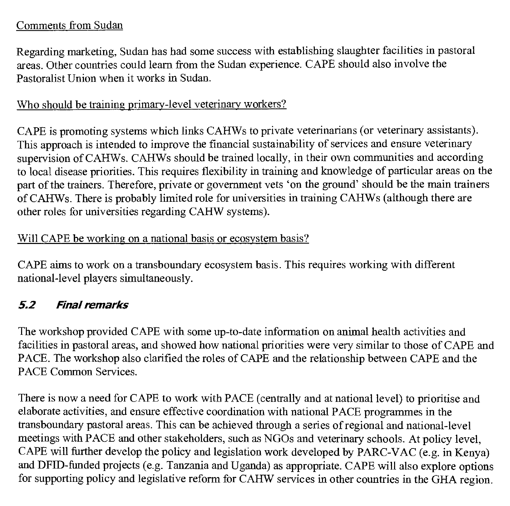#### Comments from Sudan

Regarding marketing, Sudan has had some success with establishing slaughter facilities in pastoral areas. Other countries could learn from the Sudan experience. CAPE should also involve the Pastoralist Union when it works in Sudan.

#### Who should be training primary-level veterinary workers?

CAPE is promoting systems which links CAHWs to private veterinarians (or veterinary assistants). This approach is intended to improve the financial sustainability of services and ensure veterinary supervision of CAHWs. CAHWs should be trained locally, in their own communities and according to local disease priorities. This requires flexibility in training and knowledge of particular areas on the part of the trainers. Therefore, private or government vets 'on the ground' should be the main trainers of CAHWs. There is probably limited role for universities in training CAHWs (although there are other roles for universities regarding CAHW systems).

#### Will CAPE be working on a national basis or ecosystem basis?

CAPE aims to work on a transboundary ecosystem basis. This requires working with different national-level players simultaneously.

### **52 Final remarks**

The workshop provided CAPE with some up-to-date information on animal health activities and facilities in pastoral areas, and showed how national priorities were very similar to those of CAPE and PACE. The workshop also clarified the roles of CAPE and the relationship between CAPE and the PACE Common Services.

There is now a need for CAPE to work with PACE (centrally and at national level) to prioritise and elaborate activities, and ensure effective coordination with national PACE programmes in the transboundary pastoral areas. This can be achieved through a series of regional and national-level meetings with PACE and other stakeholders, such as NGOs and veterinary schools. At policy level, CAPE will further develop the policy and legislation work developed by PARC-VAC (e.g. in Kenya) and DFID-funded projects (e.g. Tanzania and Uganda) as appropriate. CAPE will also explore options for supporting policy and legislative reform for CAHW services in other countries in the GHA region.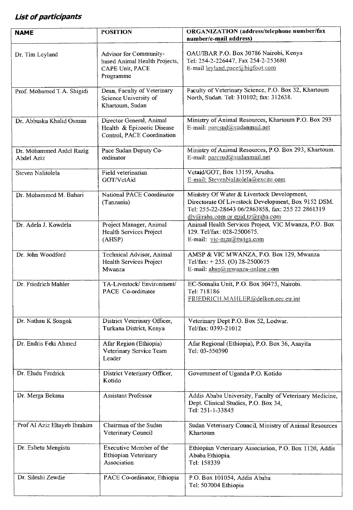### **List of participants**

| <b>NAME</b>                            | <b>POSITION</b>                                                                         | ORGANIZATION (address/telephone number/fax<br>number/e-mail address)                                                                                                                       |
|----------------------------------------|-----------------------------------------------------------------------------------------|--------------------------------------------------------------------------------------------------------------------------------------------------------------------------------------------|
| Dr. Tim Leyland                        | Advisor for Community-<br>based Animal Health Projects,<br>CAPE Unit, PACE<br>Programme | OAU/IBAR P.O. Box 30786 Nairobi, Kenya<br>Tel: 254-2-226447, Fax 254-2-253680<br>E-mail leyland.pace@bigfoot.com                                                                           |
| Prof. Mohamed T.A. Shigidi             | Dean, Faculty of Veterinary<br>Science University of<br>Khartoum, Sudan                 | Faculty of Veterinary Science, P.O. Box 32, Khartoum<br>North, Sudan. Tel: 310102; fax: 312638.                                                                                            |
| Dr. Abbuska Khalid Osman               | Director General, Animal<br>Health & Epizootic Disease<br>Control, PACE Coordination    | Ministry of Animal Resources, Khartoum P.O. Box 293<br>E-mail: parcsud@sudanmail.net                                                                                                       |
| Dr. Mohammed Ardel Razig<br>Abdel Aziz | Pace Sudan Deputy Co-<br>ordinator                                                      | Ministry of Animal Resources, P.O. Box 293, Khartoum.<br>E-mail: parcsud@sudanmail.net                                                                                                     |
| Steven Nalitolela                      | Field veterinarian<br>GOT/VetAid                                                        | Vetaid/GOT, Box 13159, Arusha.<br>E-mail: StevenNalitolela@excite.com                                                                                                                      |
| Dr. Mohammed M. Bahari                 | National PACE Coordinator<br>(Tanzania)                                                 | Ministry Of Water & Livestock Development,<br>Directorate Of Livestock Development, Box 9152 DSM.<br>Tel: 255-22-28643 06/2863858, fax: 255 22 2861319<br>dlv@raha.com or epid.tz@raha.com |
| Dr. Adela J. Kowdela                   | Project Manager, Animal<br>Health Services Project<br>(AHSP)                            | Animal Health Services Project, VIC Mwanza, P.O. Box<br>129. Tel/fax: 028-2500675.<br>E-mail: vic-mza@twiga.com                                                                            |
| Dr. John Woodford                      | Technical Advisor, Animal<br>Health Services Project<br>Mwanza                          | AMSP & VIC MWANZA, P.O. Box 129, Mwanza<br>Tel/fax: +255. (O) 28-2500675<br>E-mail: ahsp@mwanza-online.com                                                                                 |
| Dr. Friedrich Mahler                   | TA-Livestock/ Environment/<br>PACE Co-ordinator                                         | EC-Somalia Unit, P.O. Box 30475, Nairobi.<br>Tel: 718186<br>FRIEDRICH.MAHLER@delken.cec.eu.int                                                                                             |
| Dr. Nathan K Songok                    | District Veterinary Officer,<br>Turkana District, Kenya                                 | Veterinary Dept P.O. Box 52, Lodwar.<br>Tel/fax: 0393-21012                                                                                                                                |
| Dr. Endris Feki Ahmed                  | Afar Region (Ethiopia)<br>Veterinary Service Team<br>Leader                             | Afar Regional (Ethiopia), P.O. Box 36, Asayita<br>Tel: 03-550390                                                                                                                           |
| Dr. Eludu Fredrick                     | District Veterinary Officer,<br>Kotido                                                  | Government of Uganda P.O. Kotido                                                                                                                                                           |
| Dr. Merga Bekana                       | Assistant Professor                                                                     | Addis Ababa University, Faculty of Veterinary Medicine,<br>Dept. Clinical Studies, P.O. Box 34,<br>Tel: 251-1-33845                                                                        |
| Prof Al Aziz Eltayeb Ibrahim           | Chairman of the Sudan<br>Veterinary Council                                             | Sudan Veterinary Council, Ministry of Animal Resources<br>Khartoum                                                                                                                         |
| Dr. Eshetu Mengistu                    | Executive Member of the<br>Ethiopian Veterinary<br>Association                          | Ethiopian Veterinary Association, P.O. Box 1120, Addis<br>Ababa Ethiopia.<br>Tel: 158339                                                                                                   |
| Dr. Sileshi Zewdie                     | PACE Co-ordinator, Ethiopia                                                             | P.O. Box 101054, Addis Ababa<br>Tel: 507004 Ethiopia                                                                                                                                       |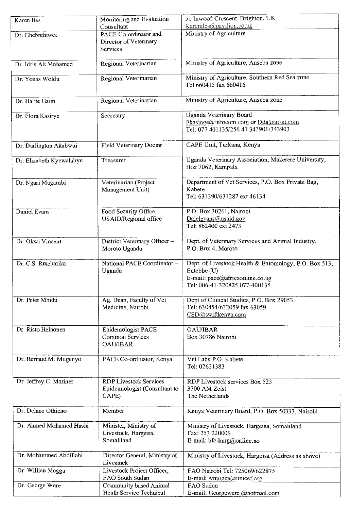| Karen Iles               | Monitoring and Evaluation     | 51 Inwood Crescent, Brighton, UK                      |
|--------------------------|-------------------------------|-------------------------------------------------------|
|                          | Consultant                    | Kareniles@pavilion.co.uk                              |
| Dr. Ghebrehiwet          | PACE Co-ordinator and         | Ministry of Agriculture                               |
|                          | Director of Veterinary        |                                                       |
|                          | Services                      |                                                       |
|                          |                               |                                                       |
| Dr. Idris Ali Mohamed    | Regional Veterinarian         | Ministry of Agriculture, Anseba zone                  |
|                          |                               |                                                       |
| Dr. Yonas Woldu          | Regional Veterinarian         | Ministry of Agriculture, Southern Red Sea zone        |
|                          |                               | Tel 660415 fax 660416                                 |
|                          |                               |                                                       |
| Dr. Habte Gaim           | Regional Veterinarian         | Ministry of Agriculture, Anseba zone                  |
|                          |                               |                                                       |
| Dr. Flora Kasirye        | Secretary                     | Uganda Veterinary Board                               |
|                          |                               | Fkasinge@infocom.com or Dda@afsat.com                 |
|                          |                               | Tel: 077 401135/256 41 343901/343903                  |
|                          |                               |                                                       |
| Dr. Darlington Akabwai   | Field Veterinary Doctor       | CAPE Unit, Turkana, Kenya                             |
|                          |                               |                                                       |
| Dr. Elizabeth Kyewalabye | Treasurer                     | Uganda Veterinary Association, Makerere University,   |
|                          |                               | Box 7062, Kampala                                     |
|                          | Veterinarian (Project         | Department of Vet Services, P.O. Box Private Bag,     |
| Dr. Ngari Mugambi        | Management Unit)              | Kabete                                                |
|                          |                               | Tel: 631390/631287 ext 46134                          |
|                          |                               |                                                       |
| Daniel Evans             | Food Security Office          | P.O. Box 30261, Nairobi                               |
|                          | USAID/Regional office         | Daielevans@usaid.gov                                  |
|                          |                               | Tel: 862400 ext 2473                                  |
|                          |                               |                                                       |
| Dr. Okwi Vincent         | District Veterinary Officer-  | Dept. of Veterinary Services and Animal Industry,     |
|                          | Moroto Uganda                 | P.O. Box 4, Moroto                                    |
|                          |                               |                                                       |
| Dr. C.S. Rutebarika      | National PACE Coordinator -   | Dept. of Livestock Health & Entomology, P.O. Box 513, |
|                          | Uganda                        | Entebbe (U)                                           |
|                          |                               | E-mail: pace@africaonline.co.ug                       |
|                          |                               | Tel: 006-41-320825 077-400135                         |
|                          |                               |                                                       |
| Dr. Peter Mbithi         | Ag. Dean, Faculty of Vet      | Dept of Clinical Studies, P.O. Box 29053              |
|                          | Medicine, Nairobi             | Tel: 630454/632059 fax 63059                          |
|                          |                               | $\text{CSD}(a)$ swiftkenya.com                        |
|                          |                               |                                                       |
| Dr. Risto Heinonen       | Epidemologist PACE            | <b>OAU/IBAR</b>                                       |
|                          | Common Services               | Box 30786 Nairobi                                     |
|                          | <b>OAU/IBAR</b>               |                                                       |
|                          |                               |                                                       |
| Dr. Bernard M. Mugenyo   | PACE Co-ordinator, Kenya      | Vet Labs P.O. Kabete                                  |
|                          |                               | Tel: 02631383                                         |
| Dr. Jeffrey C. Mariner   | <b>RDP Livestock Services</b> | RDP Livestock services Box 523                        |
|                          | Epidemiologist (Consultant to | 3700 AM Zeist                                         |
|                          | CAPE)                         | The Netherlands                                       |
|                          |                               |                                                       |
| Dr. Delano Othieno       | Member                        | Kenya Veterinary Board, P.O. Box 50333, Nairobi       |
|                          |                               |                                                       |
| Dr. Ahmed Mohamed Hashi  | Minister, Ministry of         | Ministry of Livestock, Hargeisa, Somaliland           |
|                          | Livestock, Hargeisa,          | Fax: 253 220006                                       |
|                          | Somaliland                    | E-mail: bfc-harg@online.no                            |
|                          |                               |                                                       |
| Dr. Mohammed Abdillahi   | Director General, Ministry of | Ministry of Livestock, Hargeisa (Address as above)    |
|                          | Livestock                     |                                                       |
| Dr. Willian Mogga        | Livestock Project Officer,    | FAO Nairobi Tel: 725069/622875                        |
|                          | FAO South Sudan               | E-mail: wmogga@unicef.org                             |
| Dr. George Were          | Community based Animal        | FAO Sudan                                             |
|                          | Healh Service Technical       | E-mail: Georgewere @hotmail.com                       |